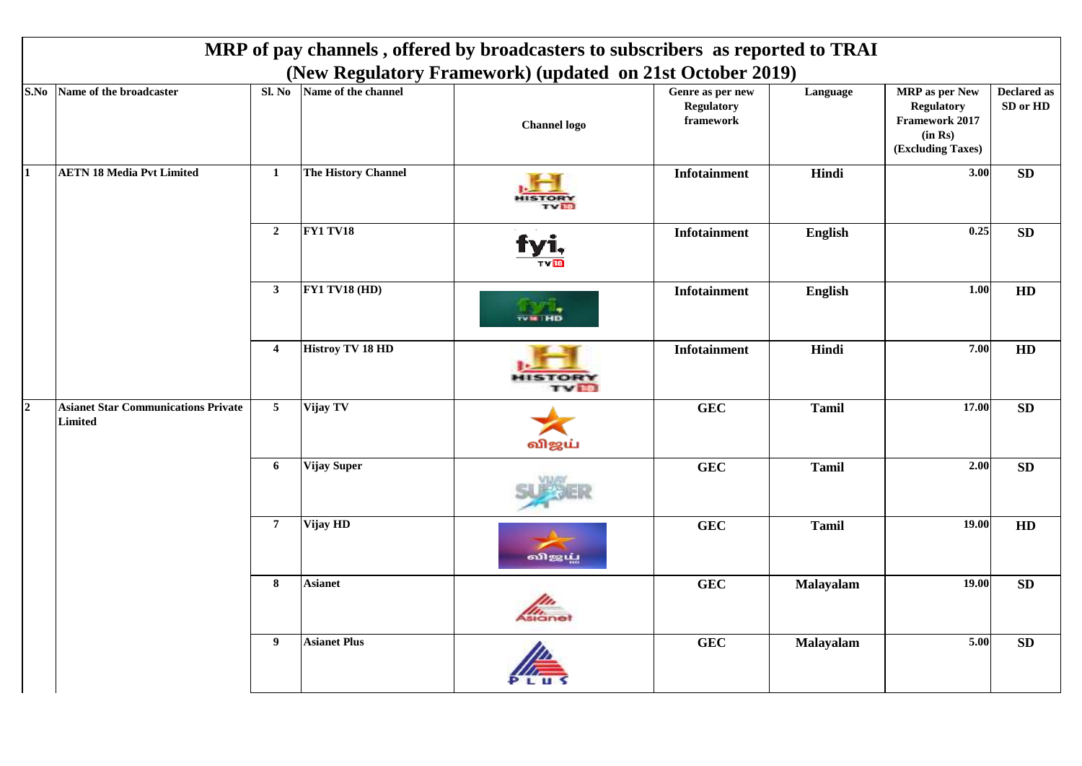|                |                                                       |                         |                         | MRP of pay channels, offered by broadcasters to subscribers as reported to TRAI<br>(New Regulatory Framework) (updated on 21st October 2019) |                                                    |              |                                                                                              |                                |
|----------------|-------------------------------------------------------|-------------------------|-------------------------|----------------------------------------------------------------------------------------------------------------------------------------------|----------------------------------------------------|--------------|----------------------------------------------------------------------------------------------|--------------------------------|
|                | S.No Name of the broadcaster                          | Sl. No                  | Name of the channel     | <b>Channel</b> logo                                                                                                                          | Genre as per new<br><b>Regulatory</b><br>framework | Language     | <b>MRP</b> as per New<br><b>Regulatory</b><br>Framework 2017<br>(in Rs)<br>(Excluding Taxes) | <b>Declared as</b><br>SD or HD |
| $\bf{1}$       | <b>AETN 18 Media Pvt Limited</b>                      | $\mathbf{1}$            | The History Channel     |                                                                                                                                              | <b>Infotainment</b>                                | Hindi        | 3.00                                                                                         | ${\bf SD}$                     |
|                |                                                       | $\mathbf{2}$            | <b>FY1 TV18</b>         |                                                                                                                                              | <b>Infotainment</b>                                | English      | 0.25                                                                                         | SD                             |
|                |                                                       | $\mathbf{3}$            | FY1 TV18 (HD)           | <b>TVIR HD</b>                                                                                                                               | <b>Infotainment</b>                                | English      | 1.00                                                                                         | HD                             |
|                |                                                       | $\overline{\mathbf{4}}$ | <b>Histroy TV 18 HD</b> | TOR<br><b>TVIB</b>                                                                                                                           | <b>Infotainment</b>                                | Hindi        | 7.00                                                                                         | HD                             |
| $\overline{2}$ | <b>Asianet Star Communications Private</b><br>Limited | $\overline{5}$          | Vijay TV                | விஜய்                                                                                                                                        | <b>GEC</b>                                         | <b>Tamil</b> | 17.00                                                                                        | SD                             |
|                |                                                       | $\boldsymbol{6}$        | <b>Vijay Super</b>      |                                                                                                                                              | <b>GEC</b>                                         | <b>Tamil</b> | 2.00                                                                                         | SD                             |
|                |                                                       | $\boldsymbol{7}$        | Vijay HD                | விஜய்                                                                                                                                        | <b>GEC</b>                                         | <b>Tamil</b> | 19.00                                                                                        | HD                             |
|                |                                                       | 8                       | <b>Asianet</b>          | Asianel                                                                                                                                      | <b>GEC</b>                                         | Malayalam    | 19.00                                                                                        | ${\bf SD}$                     |
|                |                                                       | 9                       | <b>Asianet Plus</b>     |                                                                                                                                              | <b>GEC</b>                                         | Malayalam    | 5.00                                                                                         | SD                             |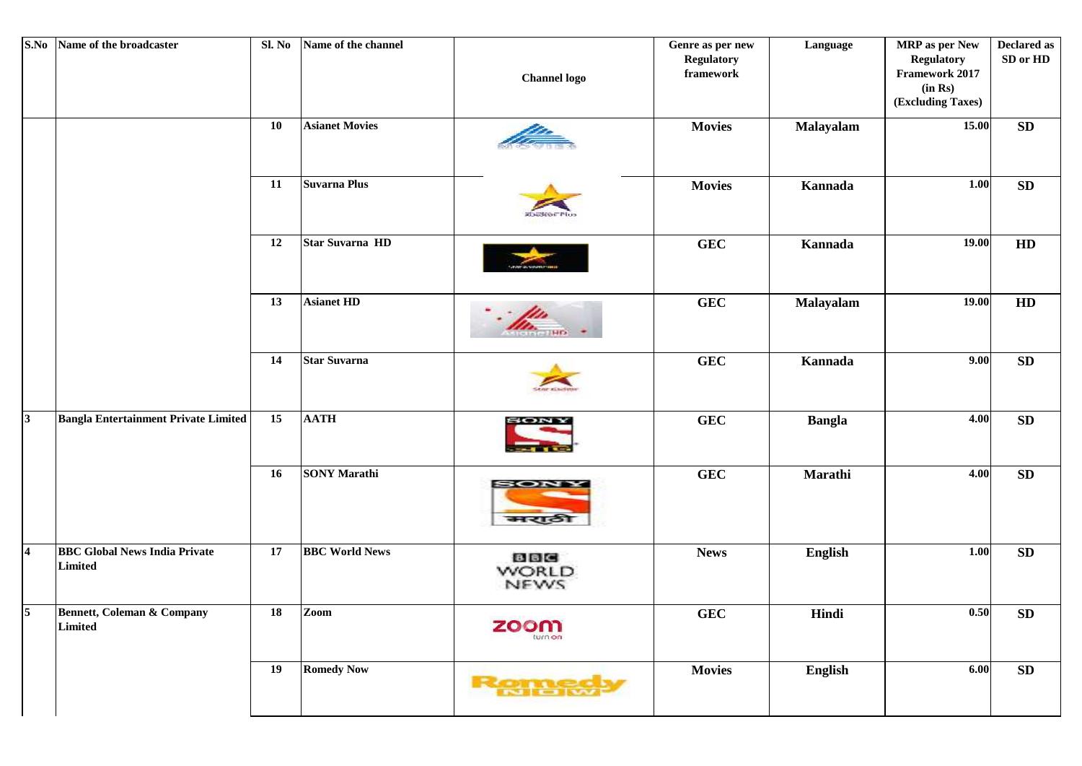| S.No                    | Name of the broadcaster                          | Sl. No     | Name of the channel   | <b>Channel</b> logo                | Genre as per new<br><b>Regulatory</b><br>framework | Language      | <b>MRP</b> as per New<br><b>Regulatory</b><br>Framework 2017<br>(in Rs)<br>(Excluding Taxes) | <b>Declared as</b><br>SD or HD |
|-------------------------|--------------------------------------------------|------------|-----------------------|------------------------------------|----------------------------------------------------|---------------|----------------------------------------------------------------------------------------------|--------------------------------|
|                         |                                                  | ${\bf 10}$ | <b>Asianet Movies</b> |                                    | <b>Movies</b>                                      | Malayalam     | 15.00                                                                                        | SD                             |
|                         |                                                  | 11         | Suvarna Plus          | <b>COUSEDE PIU</b>                 | <b>Movies</b>                                      | Kannada       | 1.00                                                                                         | ${\bf SD}$                     |
|                         |                                                  | 12         | Star Suvarna HD       |                                    | <b>GEC</b>                                         | Kannada       | 19.00                                                                                        | ${\bf HD}$                     |
|                         |                                                  | 13         | <b>Asianet HD</b>     | (HO)                               | <b>GEC</b>                                         | Malayalam     | 19.00                                                                                        | HD                             |
|                         |                                                  | 14         | <b>Star Suvarna</b>   |                                    | <b>GEC</b>                                         | Kannada       | 9.00                                                                                         | SD                             |
| <sub>3</sub>            | Bangla Entertainment Private Limited             | 15         | <b>AATH</b>           | SONY                               | <b>GEC</b>                                         | <b>Bangla</b> | 4.00                                                                                         | ${\bf SD}$                     |
|                         |                                                  | 16         | <b>SONY Marathi</b>   | SON<br>मराठी                       | <b>GEC</b>                                         | Marathi       | 4.00                                                                                         | ${\bf SD}$                     |
| $\overline{\mathbf{4}}$ | <b>BBC Global News India Private</b><br>Limited  | 17         | <b>BBC World News</b> | <b>BBC</b><br><b>WORLD</b><br>NEWS | <b>News</b>                                        | English       | $1.00$                                                                                       | SD                             |
| 5 <sup>7</sup>          | <b>Bennett, Coleman &amp; Company</b><br>Limited | 18         | Zoom                  | zoom<br>turn on                    | <b>GEC</b>                                         | Hindi         | 0.50                                                                                         | ${\bf SD}$                     |
|                         |                                                  | 19         | <b>Romedy Now</b>     | Remetery                           | <b>Movies</b>                                      | English       | 6.00                                                                                         | SD                             |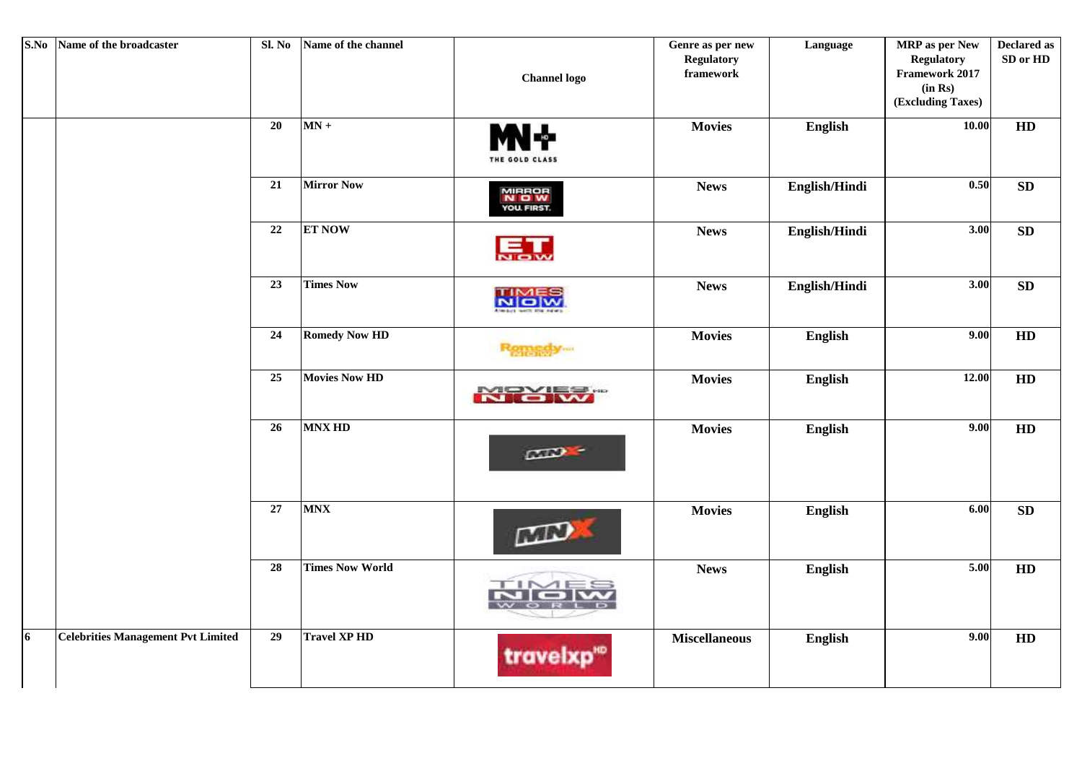| S.No | Name of the broadcaster                   | Sl. No | Name of the channel    | <b>Channel</b> logo                  | Genre as per new<br><b>Regulatory</b><br>framework | Language       | <b>MRP</b> as per New<br><b>Regulatory</b><br>Framework 2017<br>(in Rs)<br>(Excluding Taxes) | <b>Declared as</b><br>SD or HD |
|------|-------------------------------------------|--------|------------------------|--------------------------------------|----------------------------------------------------|----------------|----------------------------------------------------------------------------------------------|--------------------------------|
|      |                                           | 20     | $MN +$                 | N - -<br>THE GOLD CLASS              | <b>Movies</b>                                      | English        | 10.00                                                                                        | HD                             |
|      |                                           | 21     | <b>Mirror Now</b>      | MIRROR<br><b>N O W</b><br>YOU FIRST. | <b>News</b>                                        | English/Hindi  | 0.50                                                                                         | SD                             |
|      |                                           | $22\,$ | <b>ET NOW</b>          |                                      | <b>News</b>                                        | English/Hindi  | 3.00                                                                                         | <b>SD</b>                      |
|      |                                           | 23     | <b>Times Now</b>       | <b>NICIW</b>                         | <b>News</b>                                        | English/Hindi  | $\overline{3.00}$                                                                            | SD                             |
|      |                                           | 24     | <b>Romedy Now HD</b>   | Romagoy.com                          | <b>Movies</b>                                      | English        | 9.00                                                                                         | HD                             |
|      |                                           | 25     | <b>Movies Now HD</b>   | <b>NIC W</b>                         | <b>Movies</b>                                      | English        | 12.00                                                                                        | HD                             |
|      |                                           | 26     | <b>MNX HD</b>          | CD                                   | <b>Movies</b>                                      | English        | 9.00                                                                                         | HD                             |
|      |                                           | $27\,$ | <b>MNX</b>             | MN                                   | <b>Movies</b>                                      | <b>English</b> | 6.00                                                                                         | SD                             |
|      |                                           | 28     | <b>Times Now World</b> | 'I P                                 | <b>News</b>                                        | English        | 5.00                                                                                         | HD                             |
| 6    | <b>Celebrities Management Pvt Limited</b> | 29     | <b>Travel XP HD</b>    | travelxp"                            | <b>Miscellaneous</b>                               | English        | 9.00                                                                                         | HD                             |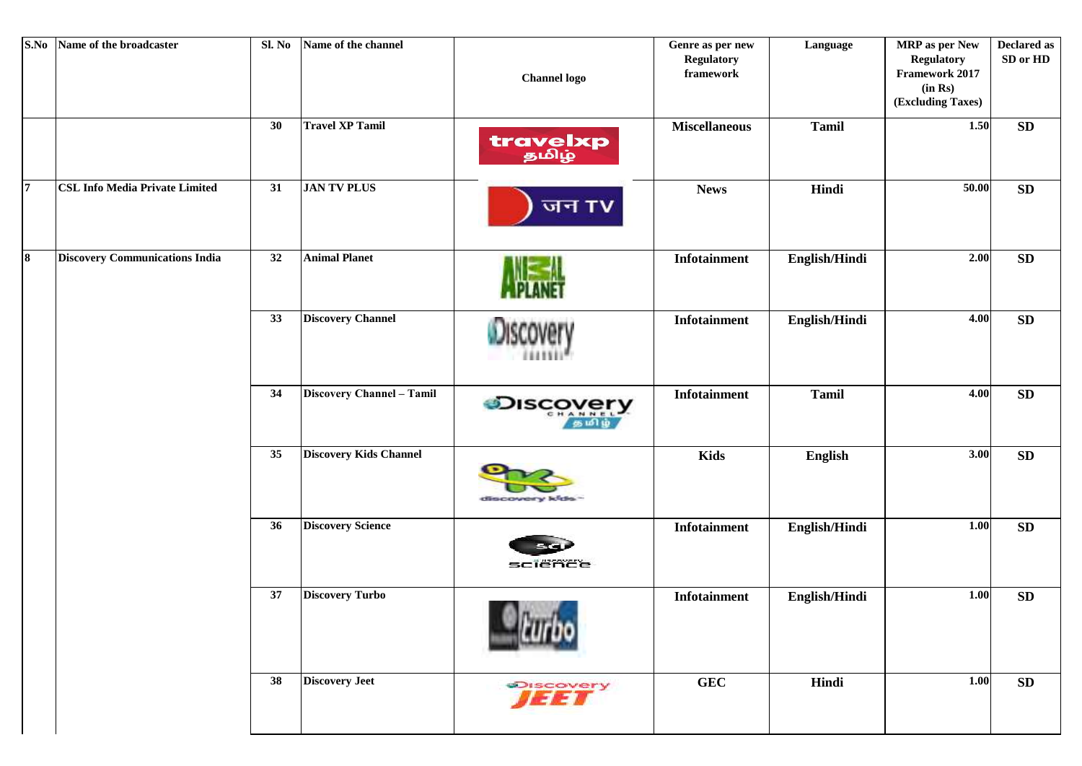| S.No           | Name of the broadcaster               | Sl. No | Name of the channel           | <b>Channel logo</b>       | Genre as per new<br><b>Regulatory</b><br>framework | Language       | <b>MRP</b> as per New<br><b>Regulatory</b><br>Framework 2017<br>(in Rs)<br>(Excluding Taxes) | <b>Declared as</b><br>SD or HD |
|----------------|---------------------------------------|--------|-------------------------------|---------------------------|----------------------------------------------------|----------------|----------------------------------------------------------------------------------------------|--------------------------------|
|                |                                       | 30     | <b>Travel XP Tamil</b>        | travelxp                  | <b>Miscellaneous</b>                               | <b>Tamil</b>   | 1.50                                                                                         | ${\bf SD}$                     |
| $\overline{7}$ | <b>CSL Info Media Private Limited</b> | 31     | <b>JAN TV PLUS</b>            | जन TV                     | <b>News</b>                                        | Hindi          | 50.00                                                                                        | ${\bf SD}$                     |
| $\bf{8}$       | <b>Discovery Communications India</b> | 32     | <b>Animal Planet</b>          |                           | Infotainment                                       | English/Hindi  | 2.00                                                                                         | SD                             |
|                |                                       | 33     | <b>Discovery Channel</b>      |                           | Infotainment                                       | English/Hindi  | 4.00                                                                                         | <b>SD</b>                      |
|                |                                       | 34     | Discovery Channel - Tamil     | <b>Discovery</b><br>கமிய் | Infotainment                                       | <b>Tamil</b>   | 4.00                                                                                         | <b>SD</b>                      |
|                |                                       | 35     | <b>Discovery Kids Channel</b> | discovery kids-           | <b>Kids</b>                                        | <b>English</b> | 3.00                                                                                         | <b>SD</b>                      |
|                |                                       | 36     | <b>Discovery Science</b>      | sciënce                   | Infotainment                                       | English/Hindi  | 1.00                                                                                         | SD                             |
|                |                                       | 37     | <b>Discovery Turbo</b>        |                           | Infotainment                                       | English/Hindi  | 1.00                                                                                         | <b>SD</b>                      |
|                |                                       | 38     | <b>Discovery Jeet</b>         | <b>THET</b>               | <b>GEC</b>                                         | Hindi          | 1.00                                                                                         | SD                             |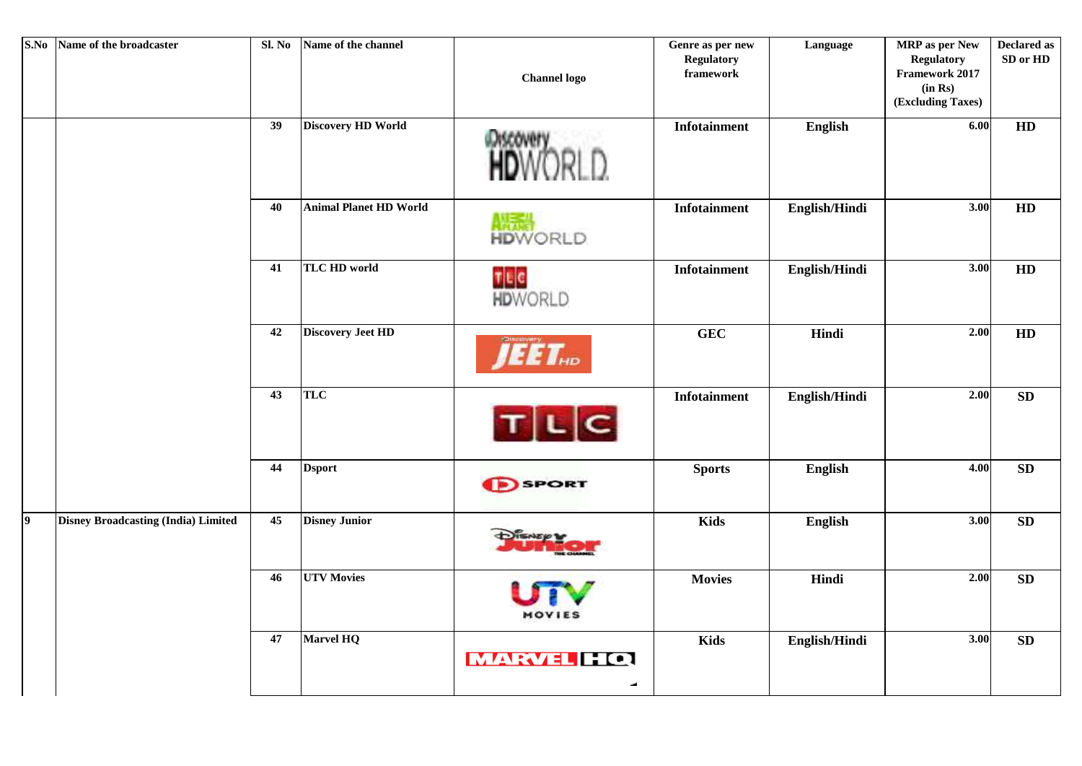| S.No      | Name of the broadcaster                    | Sl. No | Name of the channel           | <b>Channel</b> logo            | Genre as per new<br><b>Regulatory</b><br>framework | Language      | <b>MRP</b> as per New<br><b>Regulatory</b><br>Framework 2017<br>(in Rs)<br>(Excluding Taxes) | <b>Declared as</b><br>SD or HD |
|-----------|--------------------------------------------|--------|-------------------------------|--------------------------------|----------------------------------------------------|---------------|----------------------------------------------------------------------------------------------|--------------------------------|
|           |                                            | 39     | <b>Discovery HD World</b>     |                                | <b>Infotainment</b>                                | English       | 6.00                                                                                         | HD                             |
|           |                                            | 40     | <b>Animal Planet HD World</b> | <b>House</b><br><b>HDWORLD</b> | Infotainment                                       | English/Hindi | 3.00                                                                                         | HD                             |
|           |                                            | 41     | <b>TLC HD world</b>           | TLC<br>HDWORLD                 | Infotainment                                       | English/Hindi | $\overline{3.00}$                                                                            | HD                             |
|           |                                            | 42     | <b>Discovery Jeet HD</b>      | EET.                           | <b>GEC</b>                                         | Hindi         | 2.00                                                                                         | HD                             |
|           |                                            | 43     | TLC                           | TLC                            | <b>Infotainment</b>                                | English/Hindi | 2.00                                                                                         | SD                             |
|           |                                            | 44     | <b>Dsport</b>                 | <b>SPORT</b>                   | <b>Sports</b>                                      | English       | 4.00                                                                                         | SD                             |
| $\vert$ 9 | <b>Disney Broadcasting (India) Limited</b> | 45     | <b>Disney Junior</b>          |                                | <b>Kids</b>                                        | English       | 3.00                                                                                         | SD                             |
|           |                                            | 46     | <b>UTV Movies</b>             | MOVIES                         | <b>Movies</b>                                      | Hindi         | 2.00                                                                                         | SD                             |
|           |                                            | 47     | <b>Marvel HQ</b>              | <b>MARVEL HQ</b><br>مد         | <b>Kids</b>                                        | English/Hindi | $\overline{3.00}$                                                                            | SD                             |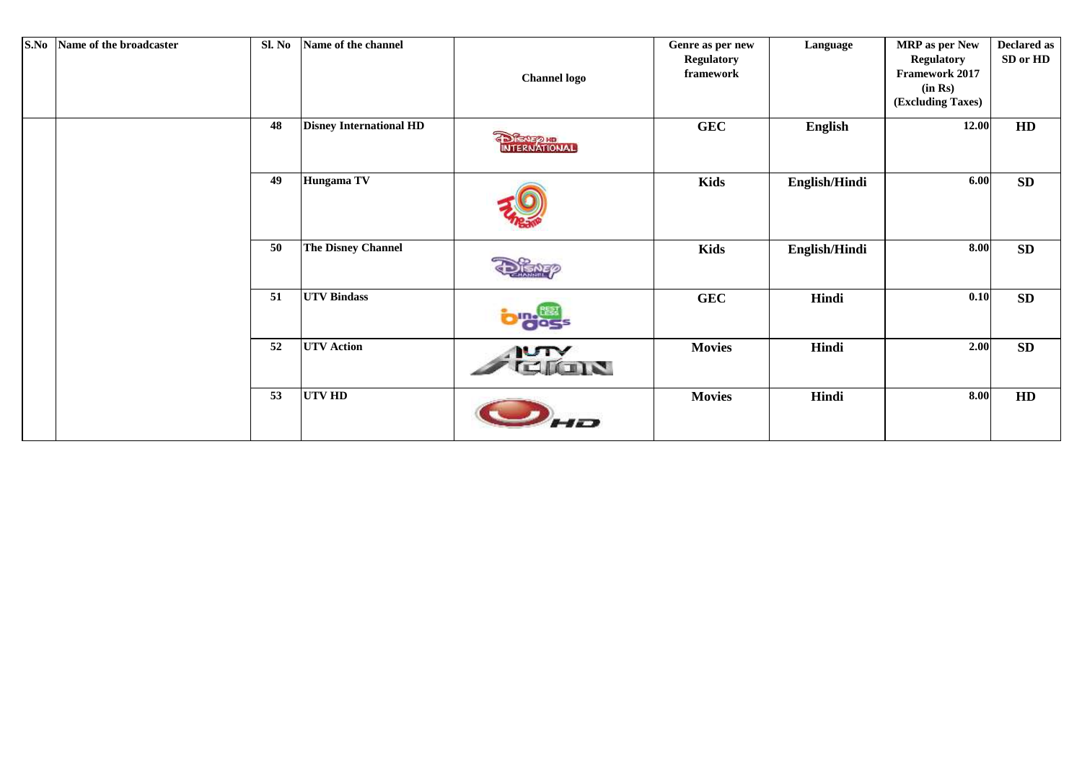| S.No | Name of the broadcaster | Sl. No | Name of the channel            | <b>Channel logo</b> | Genre as per new<br><b>Regulatory</b><br>framework | Language      | <b>MRP</b> as per New<br><b>Regulatory</b><br>Framework 2017<br>(in Rs)<br>(Excluding Taxes) | <b>Declared as</b><br>SD or HD |
|------|-------------------------|--------|--------------------------------|---------------------|----------------------------------------------------|---------------|----------------------------------------------------------------------------------------------|--------------------------------|
|      |                         | 48     | <b>Disney International HD</b> | <b>DIENEZIE</b>     | <b>GEC</b>                                         | English       | 12.00                                                                                        | HD                             |
|      |                         | 49     | Hungama TV                     |                     | <b>Kids</b>                                        | English/Hindi | 6.00                                                                                         | SD                             |
|      |                         | 50     | <b>The Disney Channel</b>      |                     | <b>Kids</b>                                        | English/Hindi | 8.00                                                                                         | SD                             |
|      |                         | 51     | <b>UTV Bindass</b>             | $\bullet$ ecs       | <b>GEC</b>                                         | Hindi         | 0.10                                                                                         | <b>SD</b>                      |
|      |                         | 52     | <b>UTV</b> Action              | <b>NUTY</b><br>cros | <b>Movies</b>                                      | Hindi         | 2.00                                                                                         | SD                             |
|      |                         | 53     | <b>UTV HD</b>                  | $\overline{1}$      | <b>Movies</b>                                      | Hindi         | 8.00                                                                                         | HD                             |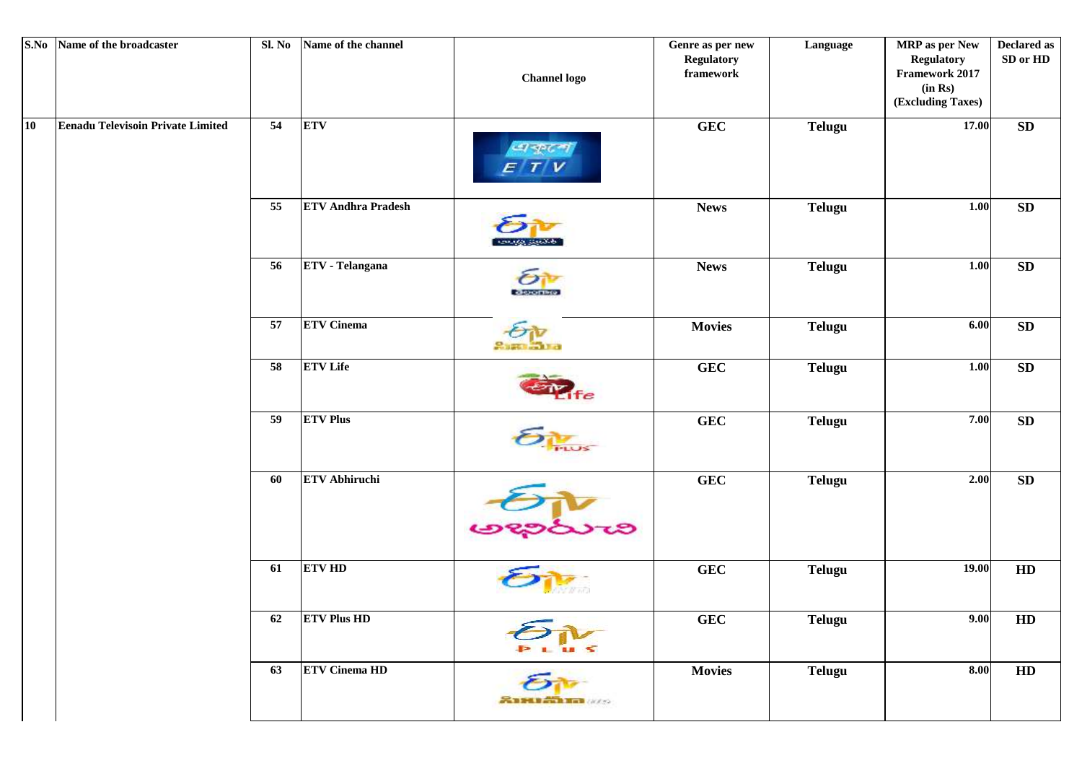|    | S.No Name of the broadcaster             | Sl. No | Name of the channel       | <b>Channel logo</b>     | Genre as per new<br><b>Regulatory</b><br>framework | Language      | <b>MRP</b> as per New<br><b>Regulatory</b><br>Framework 2017<br>(in Rs)<br>(Excluding Taxes) | <b>Declared as</b><br>SD or HD |
|----|------------------------------------------|--------|---------------------------|-------------------------|----------------------------------------------------|---------------|----------------------------------------------------------------------------------------------|--------------------------------|
| 10 | <b>Eenadu Televisoin Private Limited</b> | 54     | <b>ETV</b>                | $-1 - p \, (2)$         | <b>GEC</b>                                         | <b>Telugu</b> | 17.00                                                                                        | SD                             |
|    |                                          | 55     | <b>ETV Andhra Pradesh</b> | and to stream           | <b>News</b>                                        | <b>Telugu</b> | $1.00\,$                                                                                     | SD                             |
|    |                                          | 56     | <b>ETV</b> - Telangana    | deoras                  | <b>News</b>                                        | <b>Telugu</b> | $1.00\,$                                                                                     | SD                             |
|    |                                          | 57     | <b>ETV</b> Cinema         |                         | <b>Movies</b>                                      | <b>Telugu</b> | $6.00\,$                                                                                     | SD                             |
|    |                                          | 58     | <b>ETV</b> Life           | fe                      | <b>GEC</b>                                         | <b>Telugu</b> | 1.00                                                                                         | ${\bf SD}$                     |
|    |                                          | 59     | <b>ETV Plus</b>           |                         | <b>GEC</b>                                         | <b>Telugu</b> | 7.00                                                                                         | SD                             |
|    |                                          | 60     | <b>ETV Abhiruchi</b>      |                         | <b>GEC</b>                                         | <b>Telugu</b> | $2.00$                                                                                       | SD                             |
|    |                                          | 61     | <b>ETV HD</b>             |                         | <b>GEC</b>                                         | <b>Telugu</b> | 19.00                                                                                        | HD                             |
|    |                                          | 62     | <b>ETV Plus HD</b>        |                         | <b>GEC</b>                                         | <b>Telugu</b> | 9.00                                                                                         | HD                             |
|    |                                          | 63     | <b>ETV Cinema HD</b>      | <b>SANTA BELLEVILLE</b> | <b>Movies</b>                                      | <b>Telugu</b> | 8.00                                                                                         | HD                             |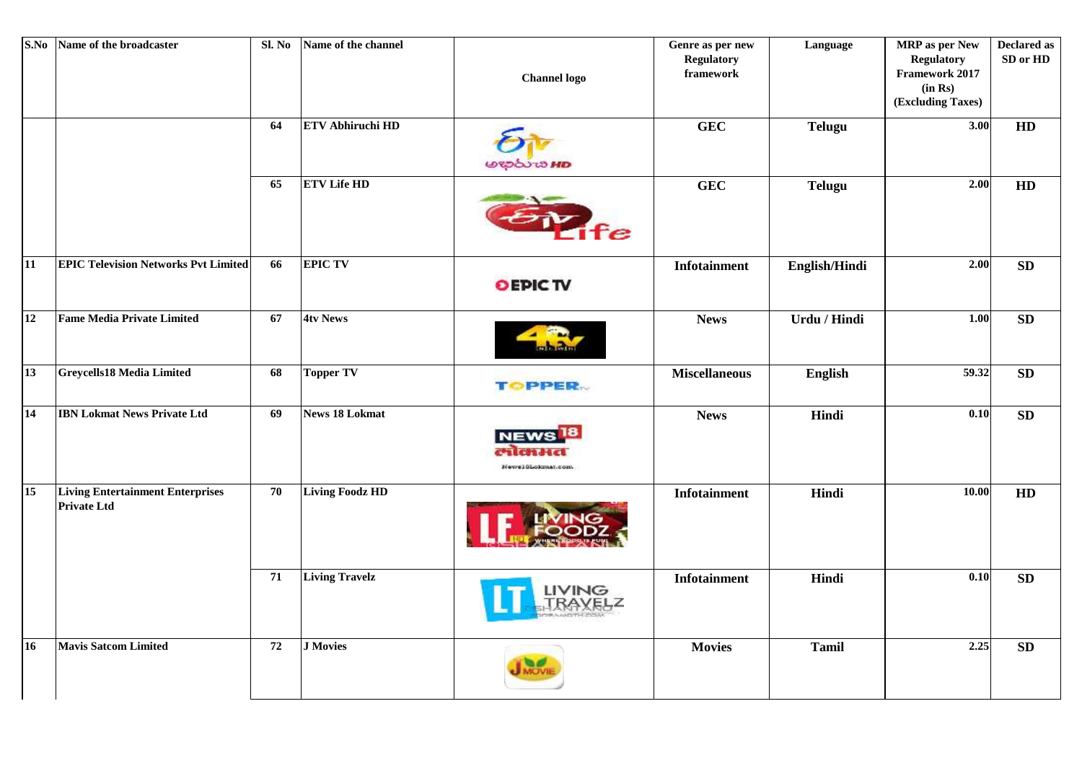|    | S.No Name of the broadcaster                                  | Sl. No | Name of the channel     | <b>Channel logo</b>           | Genre as per new<br><b>Regulatory</b><br>framework | Language      | <b>MRP</b> as per New<br><b>Regulatory</b><br>Framework 2017<br>(in Rs)<br>(Excluding Taxes) | <b>Declared as</b><br>SD or HD |
|----|---------------------------------------------------------------|--------|-------------------------|-------------------------------|----------------------------------------------------|---------------|----------------------------------------------------------------------------------------------|--------------------------------|
|    |                                                               | 64     | <b>ETV Abhiruchi HD</b> | GN er coepe                   | <b>GEC</b>                                         | <b>Telugu</b> | 3.00                                                                                         | HD                             |
|    |                                                               | 65     | <b>ETV Life HD</b>      |                               | <b>GEC</b>                                         | <b>Telugu</b> | 2.00                                                                                         | HD                             |
| 11 | <b>EPIC Television Networks Pvt Limited</b>                   | 66     | <b>EPIC TV</b>          | OEPIC TV                      | Infotainment                                       | English/Hindi | 2.00                                                                                         | <b>SD</b>                      |
| 12 | <b>Fame Media Private Limited</b>                             | 67     | <b>4tv News</b>         |                               | <b>News</b>                                        | Urdu / Hindi  | 1.00                                                                                         | <b>SD</b>                      |
| 13 | <b>Greycells18 Media Limited</b>                              | 68     | <b>Topper TV</b>        | TOPPER                        | <b>Miscellaneous</b>                               | English       | 59.32                                                                                        | <b>SD</b>                      |
| 14 | <b>IBN Lokmat News Private Ltd</b>                            | 69     | <b>News 18 Lokmat</b>   | ti dhi ta<br>News18Lokmat.com | <b>News</b>                                        | Hindi         | 0.10                                                                                         | <b>SD</b>                      |
| 15 | <b>Living Entertainment Enterprises</b><br><b>Private Ltd</b> | 70     | <b>Living Foodz HD</b>  |                               | <b>Infotainment</b>                                | Hindi         | 10.00                                                                                        | HD                             |
|    |                                                               | 71     | <b>Living Travelz</b>   | LIVING                        | <b>Infotainment</b>                                | Hindi         | 0.10                                                                                         | <b>SD</b>                      |
| 16 | <b>Mavis Satcom Limited</b>                                   | 72     | <b>J</b> Movies         |                               | <b>Movies</b>                                      | <b>Tamil</b>  | 2.25                                                                                         | <b>SD</b>                      |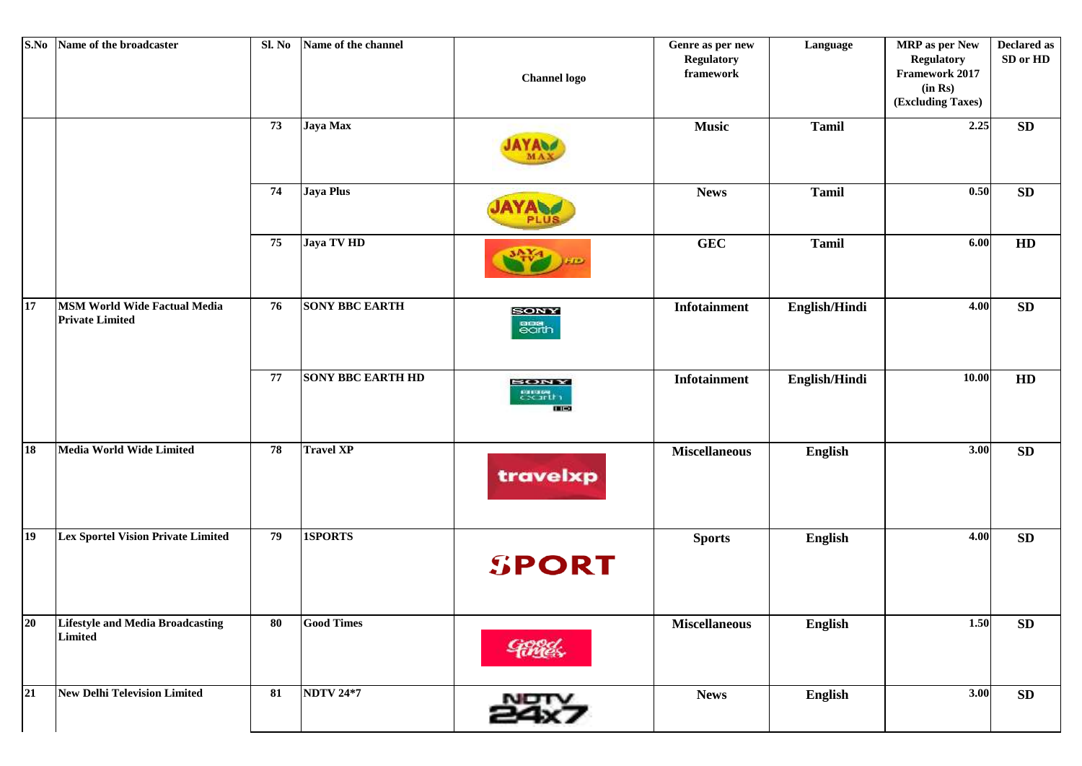| S.No      | Name of the broadcaster                                       | Sl. No     | Name of the channel      | <b>Channel</b> logo                        | Genre as per new<br><b>Regulatory</b><br>framework | Language      | <b>MRP</b> as per New<br><b>Regulatory</b><br>Framework 2017<br>(in Rs)<br>(Excluding Taxes) | <b>Declared as</b><br>SD or HD |
|-----------|---------------------------------------------------------------|------------|--------------------------|--------------------------------------------|----------------------------------------------------|---------------|----------------------------------------------------------------------------------------------|--------------------------------|
|           |                                                               | 73         | Jaya Max                 |                                            | <b>Music</b>                                       | <b>Tamil</b>  | 2.25                                                                                         | SD                             |
|           |                                                               | 74         | Jaya Plus                | <b>PLU:</b>                                | <b>News</b>                                        | <b>Tamil</b>  | $0.50\,$                                                                                     | <b>SD</b>                      |
|           |                                                               | 75         | Jaya TV HD               |                                            | <b>GEC</b>                                         | <b>Tamil</b>  | 6.00                                                                                         | HD                             |
| 17        | <b>MSM World Wide Factual Media</b><br><b>Private Limited</b> | 76         | <b>SONY BBC EARTH</b>    | <b>SONY</b><br>ana<br>earth                | Infotainment                                       | English/Hindi | 4.00                                                                                         | ${\bf SD}$                     |
|           |                                                               | 77         | <b>SONY BBC EARTH HD</b> | <b>BONY</b><br><b>EXISTEN</b><br>$101 - 0$ | <b>Infotainment</b>                                | English/Hindi | 10.00                                                                                        | HD                             |
| <b>18</b> | <b>Media World Wide Limited</b>                               | 78         | <b>Travel XP</b>         | travelxp                                   | <b>Miscellaneous</b>                               | English       | 3.00                                                                                         | SD                             |
| <b>19</b> | <b>Lex Sportel Vision Private Limited</b>                     | 79         | 1SPORTS                  | <b>SPORT</b>                               | <b>Sports</b>                                      | English       | 4.00                                                                                         | ${\bf SD}$                     |
| 20        | <b>Lifestyle and Media Broadcasting</b><br>Limited            | ${\bf 80}$ | <b>Good Times</b>        | <b>Finds</b>                               | <b>Miscellaneous</b>                               | English       | 1.50                                                                                         | SD                             |
| 21        | <b>New Delhi Television Limited</b>                           | 81         | <b>NDTV 24*7</b>         | 24x7                                       | <b>News</b>                                        | English       | 3.00                                                                                         | SD                             |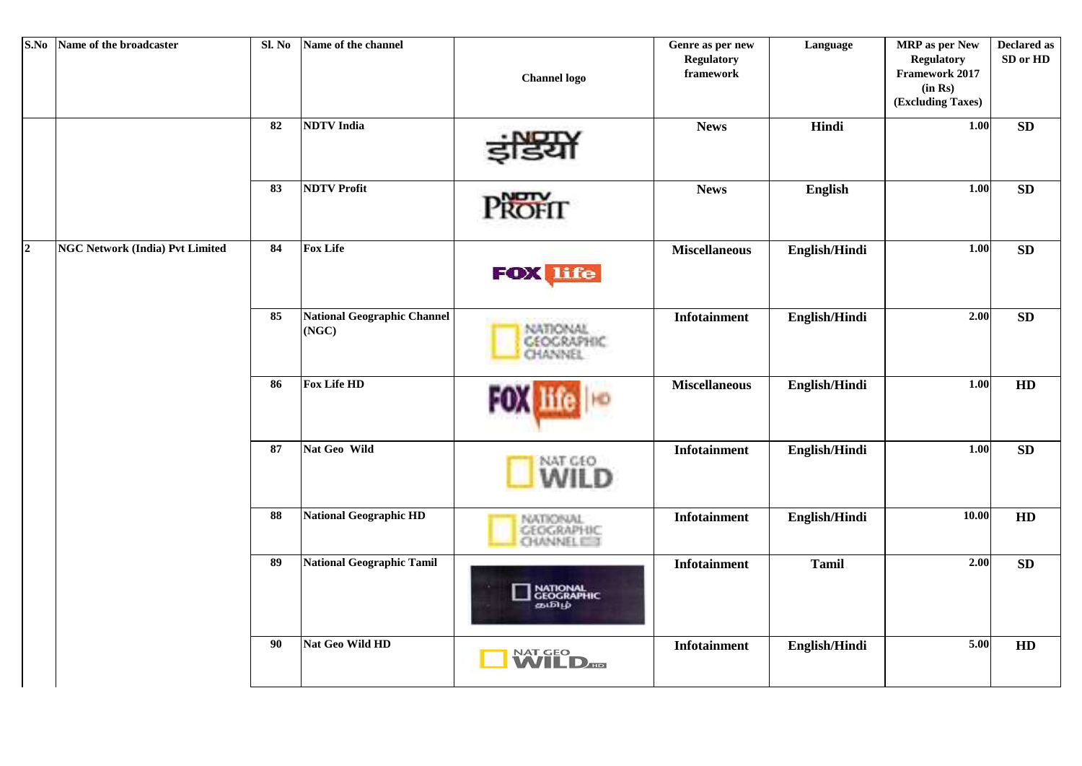| S.No           | Name of the broadcaster                | Sl. No | Name of the channel                         | <b>Channel</b> logo                             | Genre as per new<br><b>Regulatory</b><br>framework | Language      | <b>MRP</b> as per New<br><b>Regulatory</b><br>Framework 2017<br>(in Rs)<br>(Excluding Taxes) | <b>Declared as</b><br>SD or HD |
|----------------|----------------------------------------|--------|---------------------------------------------|-------------------------------------------------|----------------------------------------------------|---------------|----------------------------------------------------------------------------------------------|--------------------------------|
|                |                                        | 82     | <b>NDTV</b> India                           | • NOTY                                          | <b>News</b>                                        | Hindi         | $1.00\,$                                                                                     | <b>SD</b>                      |
|                |                                        | 83     | <b>NDTV Profit</b>                          | PROFIT                                          | <b>News</b>                                        | English       | 1.00                                                                                         | ${\bf SD}$                     |
| $\overline{2}$ | <b>NGC Network (India) Pvt Limited</b> | 84     | <b>Fox Life</b>                             | <b>FOX life</b>                                 | <b>Miscellaneous</b>                               | English/Hindi | $1.00$                                                                                       | SD                             |
|                |                                        | 85     | <b>National Geographic Channel</b><br>(NGC) | NATIONAL<br><b>GEOGRAPHIC</b><br><b>CHANNEL</b> | <b>Infotainment</b>                                | English/Hindi | 2.00                                                                                         | SD                             |
|                |                                        | 86     | <b>Fox Life HD</b>                          |                                                 | <b>Miscellaneous</b>                               | English/Hindi | $1.00\,$                                                                                     | HD                             |
|                |                                        | 87     | Nat Geo Wild                                | WILD                                            | Infotainment                                       | English/Hindi | $1.00$                                                                                       | SD                             |
|                |                                        | 88     | <b>National Geographic HD</b>               | NATIONAL<br>GEOGRAPHIC<br><b>CHANNEL CITY</b>   | <b>Infotainment</b>                                | English/Hindi | 10.00                                                                                        | HD                             |
|                |                                        | 89     | <b>National Geographic Tamil</b>            | NATIONAL<br>GEOGRAPHIC<br>கமிழ்                 | <b>Infotainment</b>                                | <b>Tamil</b>  | 2.00                                                                                         | SD                             |
|                |                                        | 90     | Nat Geo Wild HD                             | NAT GEO<br><b>WILD</b>                          | <b>Infotainment</b>                                | English/Hindi | 5.00                                                                                         | HD                             |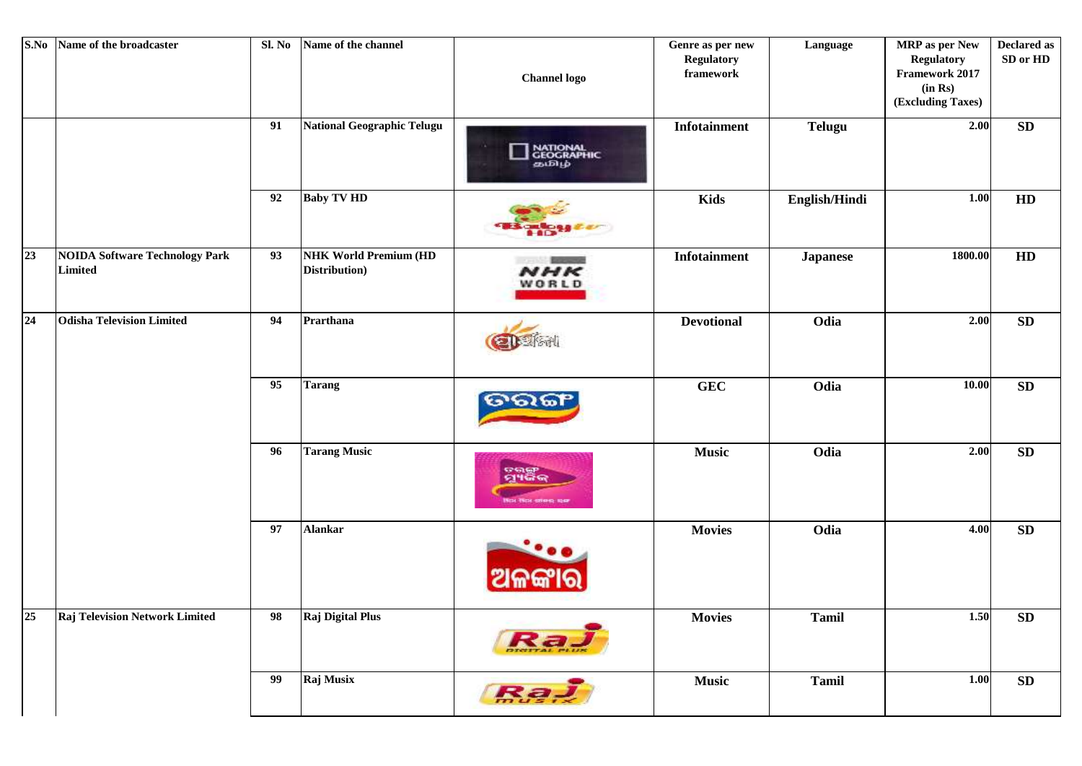|    | S.No Name of the broadcaster                            | Sl. No | Name of the channel                           | <b>Channel logo</b>                    | Genre as per new<br><b>Regulatory</b><br>framework | Language        | <b>MRP</b> as per New<br><b>Regulatory</b><br>Framework 2017<br>(in Rs)<br>(Excluding Taxes) | <b>Declared as</b><br>SD or HD |
|----|---------------------------------------------------------|--------|-----------------------------------------------|----------------------------------------|----------------------------------------------------|-----------------|----------------------------------------------------------------------------------------------|--------------------------------|
|    |                                                         | 91     | National Geographic Telugu                    | <b>NATIONAL</b><br>GEOGRAPHIC<br>கமிழ் | Infotainment                                       | <b>Telugu</b>   | 2.00                                                                                         | ${\bf SD}$                     |
|    |                                                         | 92     | <b>Baby TV HD</b>                             |                                        | <b>Kids</b>                                        | English/Hindi   | 1.00                                                                                         | HD                             |
| 23 | <b>NOIDA Software Technology Park</b><br><b>Limited</b> | 93     | <b>NHK World Premium (HD</b><br>Distribution) | <b>Branch</b><br><b>NHK</b><br>WORLD   | <b>Infotainment</b>                                | <b>Japanese</b> | 1800.00                                                                                      | HD                             |
| 24 | <b>Odisha Television Limited</b>                        | 94     | Prarthana                                     |                                        | <b>Devotional</b>                                  | Odia            | 2.00                                                                                         | ${\bf SD}$                     |
|    |                                                         | 95     | <b>Tarang</b>                                 |                                        | <b>GEC</b>                                         | Odia            | 10.00                                                                                        | ${\bf SD}$                     |
|    |                                                         | 96     | <b>Tarang Music</b>                           | ୖୣ୶୳ଵୖୖୖ<br>Not Not sheet her          | <b>Music</b>                                       | Odia            | 2.00                                                                                         | ${\bf SD}$                     |
|    |                                                         | 97     | <b>Alankar</b>                                |                                        | <b>Movies</b>                                      | Odia            | 4.00                                                                                         | ${\bf SD}$                     |
| 25 | <b>Raj Television Network Limited</b>                   | 98     | Raj Digital Plus                              | Ra.                                    | <b>Movies</b>                                      | <b>Tamil</b>    | 1.50                                                                                         | SD                             |
|    |                                                         | 99     | Raj Musix                                     | <b>Raj</b>                             | <b>Music</b>                                       | <b>Tamil</b>    | 1.00                                                                                         | SD                             |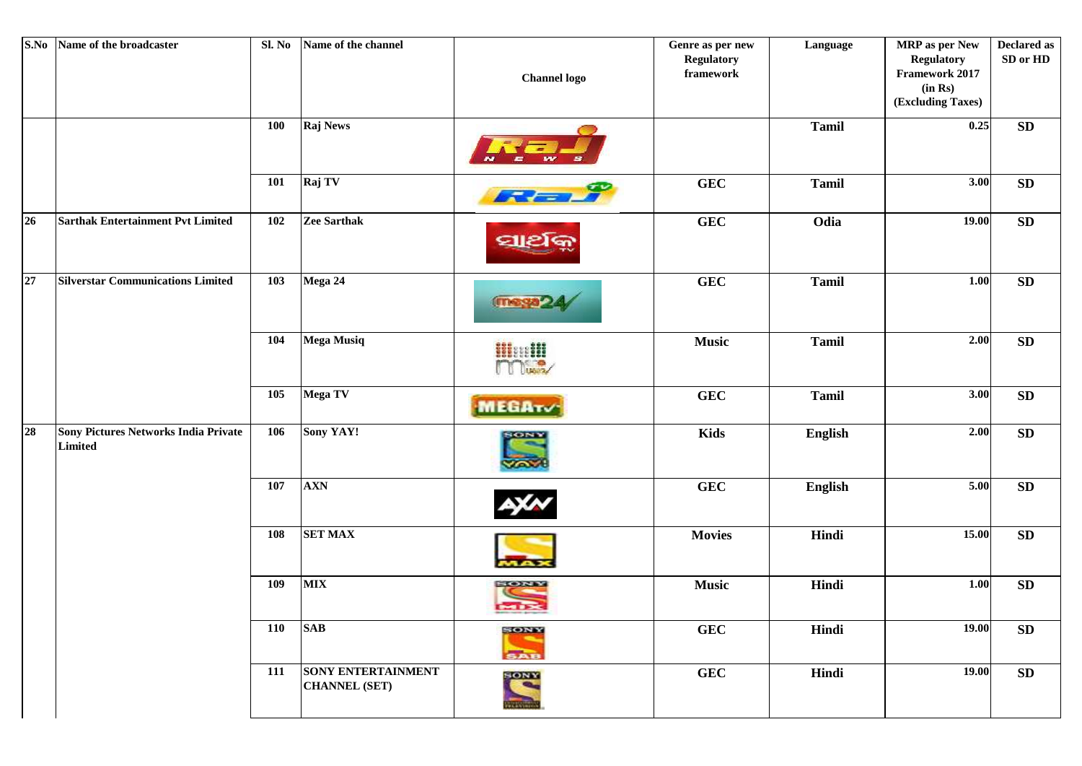| S.No | Name of the broadcaster                         | Sl. No     | Name of the channel                               | <b>Channel</b> logo            | Genre as per new<br><b>Regulatory</b><br>framework | Language     | MRP as per New<br><b>Regulatory</b><br>Framework 2017<br>(in Rs)<br>(Excluding Taxes) | <b>Declared as</b><br>SD or HD |
|------|-------------------------------------------------|------------|---------------------------------------------------|--------------------------------|----------------------------------------------------|--------------|---------------------------------------------------------------------------------------|--------------------------------|
|      |                                                 | <b>100</b> | Raj News                                          |                                |                                                    | <b>Tamil</b> | 0.25                                                                                  | SD                             |
|      |                                                 | <b>101</b> | Raj TV                                            | $F = F$                        | <b>GEC</b>                                         | <b>Tamil</b> | 3.00                                                                                  | ${\bf SD}$                     |
| 26   | <b>Sarthak Entertainment Pvt Limited</b>        | 102        | Zee Sarthak                                       | ସାଥର                           | <b>GEC</b>                                         | Odia         | 19.00                                                                                 | ${\bf SD}$                     |
| 27   | <b>Silverstar Communications Limited</b>        | 103        | Mega 24                                           | (maga-                         | <b>GEC</b>                                         | <b>Tamil</b> | $1.00\,$                                                                              | ${\bf SD}$                     |
|      |                                                 | 104        | <b>Mega Musiq</b>                                 | <b>Himill</b>                  | <b>Music</b>                                       | <b>Tamil</b> | 2.00                                                                                  | ${\bf SD}$                     |
|      |                                                 | 105        | Mega TV                                           | <b>MEGATV</b>                  | <b>GEC</b>                                         | <b>Tamil</b> | 3.00                                                                                  | ${\bf SD}$                     |
| 28   | Sony Pictures Networks India Private<br>Limited | 106        | Sony YAY!                                         | <b>SONY</b><br><b>Yov</b>      | <b>Kids</b>                                        | English      | $2.00$                                                                                | ${\bf SD}$                     |
|      |                                                 | 107        | <b>AXN</b>                                        |                                | <b>GEC</b>                                         | English      | 5.00                                                                                  | ${\bf SD}$                     |
|      |                                                 | 108        | <b>SET MAX</b>                                    | <b>TAD</b>                     | <b>Movies</b>                                      | Hindi        | 15.00                                                                                 | SD                             |
|      |                                                 | 109        | <b>MIX</b>                                        | SONY<br><b>PHI 3X</b>          | <b>Music</b>                                       | Hindi        | $1.00\,$                                                                              | SD                             |
|      |                                                 | 110        | <b>SAB</b>                                        | SONY<br>SAB                    | <b>GEC</b>                                         | Hindi        | 19.00                                                                                 | ${\bf SD}$                     |
|      |                                                 | 111        | <b>SONY ENTERTAINMENT</b><br><b>CHANNEL (SET)</b> | $\frac{\text{SONN}}{\text{S}}$ | <b>GEC</b>                                         | Hindi        | 19.00                                                                                 | SD                             |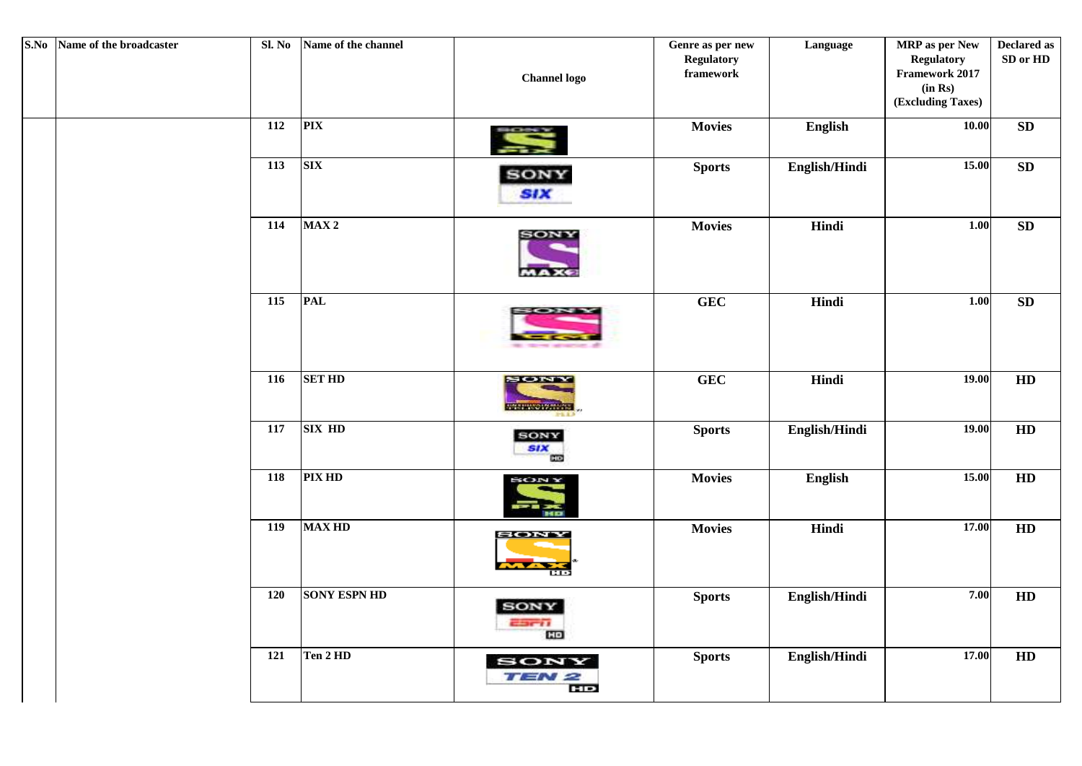| S.No Name of the broadcaster | Sl. No | Name of the channel | <b>Channel</b> logo                                | Genre as per new<br><b>Regulatory</b><br>framework | Language      | <b>MRP</b> as per New<br><b>Regulatory</b><br>Framework 2017<br>(in Rs)<br>(Excluding Taxes) | <b>Declared as</b><br>SD or HD |
|------------------------------|--------|---------------------|----------------------------------------------------|----------------------------------------------------|---------------|----------------------------------------------------------------------------------------------|--------------------------------|
|                              | 112    | <b>PIX</b>          |                                                    | <b>Movies</b>                                      | English       | 10.00                                                                                        | SD                             |
|                              | 113    | <b>SIX</b>          | <b>SONY</b><br><b>SIX</b>                          | <b>Sports</b>                                      | English/Hindi | 15.00                                                                                        | SD                             |
|                              | 114    | MAX <sub>2</sub>    | SONY                                               | <b>Movies</b>                                      | Hindi         | 1.00                                                                                         | ${\bf SD}$                     |
|                              | 115    | <b>PAL</b>          | --                                                 | <b>GEC</b>                                         | Hindi         | 1.00                                                                                         | SD                             |
|                              | 116    | <b>SET HD</b>       | <b>SONY</b><br><b>THE REPORT OF STATE OF STATE</b> | <b>GEC</b>                                         | Hindi         | 19.00                                                                                        | HD                             |
|                              | 117    | <b>SIX HD</b>       | <b>SONY</b><br><b>SIX</b><br>œ                     | <b>Sports</b>                                      | English/Hindi | 19.00                                                                                        | HD                             |
|                              | 118    | <b>PIX HD</b>       | <b>SONY</b>                                        | <b>Movies</b>                                      | English       | 15.00                                                                                        | HD                             |
|                              | 119    | <b>MAX HD</b>       | <b>SONN</b><br>œо                                  | <b>Movies</b>                                      | Hindi         | 17.00                                                                                        | HD                             |
|                              | 120    | <b>SONY ESPN HD</b> | SONY<br>$-3011$<br>CO                              | <b>Sports</b>                                      | English/Hindi | 7.00                                                                                         | HD                             |
|                              | 121    | Ten 2 HD            | SONY<br>TEN 2                                      | <b>Sports</b>                                      | English/Hindi | 17.00                                                                                        | HD                             |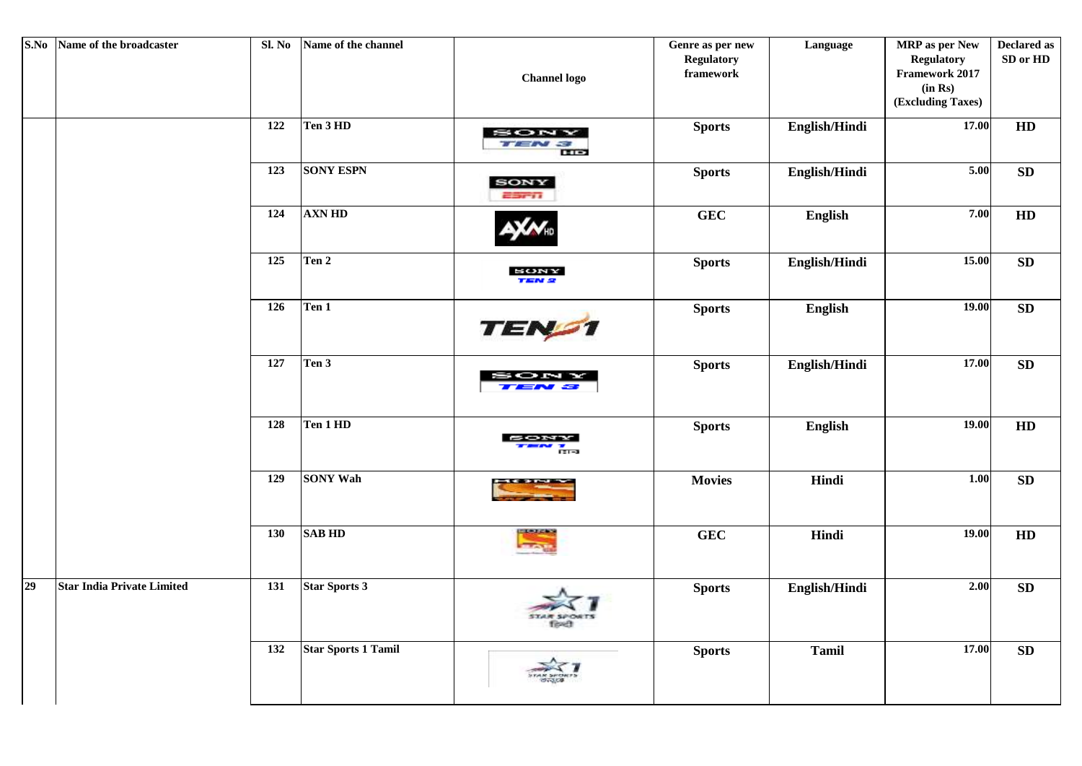| S.No | Name of the broadcaster           | Sl. No          | Name of the channel        | <b>Channel</b> logo                  | Genre as per new<br><b>Regulatory</b><br>framework | Language       | MRP as per New<br><b>Regulatory</b><br>Framework 2017<br>(in Rs)<br>(Excluding Taxes) | <b>Declared as</b><br>SD or HD |
|------|-----------------------------------|-----------------|----------------------------|--------------------------------------|----------------------------------------------------|----------------|---------------------------------------------------------------------------------------|--------------------------------|
|      |                                   | 122             | Ten 3 HD                   | SON<br>$T = N \approx$<br><b>THE</b> | <b>Sports</b>                                      | English/Hindi  | 17.00                                                                                 | $\mathbf{H}\mathbf{D}$         |
|      |                                   | 123             | <b>SONY ESPN</b>           | <b>SONY</b><br><b>ESCI</b>           | <b>Sports</b>                                      | English/Hindi  | 5.00                                                                                  | SD                             |
|      |                                   | 124             | <b>AXN HD</b>              |                                      | <b>GEC</b>                                         | English        | 7.00                                                                                  | $\mathbf{H}\mathbf{D}$         |
|      |                                   | $\frac{125}{ }$ | Ten 2                      | SONY<br><b>TEN 2</b>                 | <b>Sports</b>                                      | English/Hindi  | 15.00                                                                                 | SD                             |
|      |                                   | 126             | Ten 1                      | TEN <sub>21</sub>                    | <b>Sports</b>                                      | English        | <b>19.00</b>                                                                          | SD                             |
|      |                                   | 127             | Ten 3                      | : ON                                 | <b>Sports</b>                                      | English/Hindi  | 17.00                                                                                 | SD                             |
|      |                                   | 128             | Ten 1 HD                   | <b>B</b> rea                         | <b>Sports</b>                                      | <b>English</b> | 19.00                                                                                 | HD                             |
|      |                                   | 129             | <b>SONY Wah</b>            |                                      | <b>Movies</b>                                      | Hindi          | 1.00                                                                                  | SD                             |
|      |                                   | 130             | <b>SAB HD</b>              | <b>ITANTENS</b><br><b>COLOR</b>      | GEC                                                | Hindi          | 19.00                                                                                 | ${\bf HD}$                     |
| 29   | <b>Star India Private Limited</b> | 131             | <b>Star Sports 3</b>       | Tituett                              | <b>Sports</b>                                      | English/Hindi  | 2.00                                                                                  | SD                             |
|      |                                   | 132             | <b>Star Sports 1 Tamil</b> |                                      | <b>Sports</b>                                      | <b>Tamil</b>   | 17.00                                                                                 | SD                             |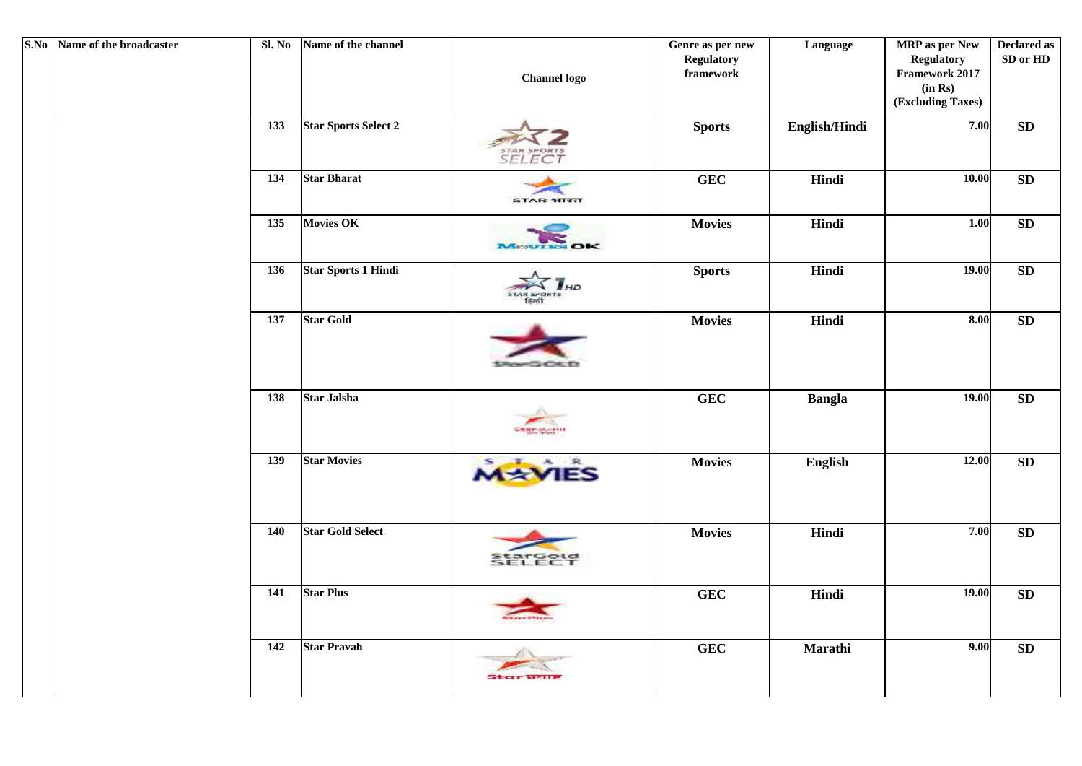| S.No Name of the broadcaster |     | Sl. No Name of the channel  | <b>Channel logo</b> | Genre as per new<br>Regulatory<br>framework | Language      | MRP as per New<br><b>Regulatory</b><br>Framework 2017<br>(in Rs)<br>(Excluding Taxes) | <b>Declared as</b><br>SD or HD |
|------------------------------|-----|-----------------------------|---------------------|---------------------------------------------|---------------|---------------------------------------------------------------------------------------|--------------------------------|
|                              | 133 | <b>Star Sports Select 2</b> | STAR SPORTS         | <b>Sports</b>                               | English/Hindi | 7.00                                                                                  | ${\bf SD}$                     |
|                              | 134 | <b>Star Bharat</b>          | <b>STAR STRIT</b>   | <b>GEC</b>                                  | Hindi         | $\bf 10.00$                                                                           | ${\bf SD}$                     |
|                              | 135 | <b>Movies OK</b>            | MONTES OK           | <b>Movies</b>                               | Hindi         | 1.00                                                                                  | ${\bf SD}$                     |
|                              | 136 | <b>Star Sports 1 Hindi</b>  |                     | <b>Sports</b>                               | Hindi         | 19.00                                                                                 | ${\bf SD}$                     |
|                              | 137 | <b>Star Gold</b>            |                     | <b>Movies</b>                               | Hindi         | 8.00                                                                                  | ${\bf SD}$                     |
|                              | 138 | <b>Star Jalsha</b>          | Star-Month          | <b>GEC</b>                                  | <b>Bangla</b> | 19.00                                                                                 | SD                             |
|                              | 139 | <b>Star Movies</b>          | <b>MAYIES</b>       | <b>Movies</b>                               | English       | 12.00                                                                                 | ${\bf SD}$                     |
|                              | 140 | <b>Star Gold Select</b>     | <b>SELECT</b>       | <b>Movies</b>                               | Hindi         | 7.00                                                                                  | ${\bf SD}$                     |
|                              | 141 | <b>Star Plus</b>            |                     | <b>GEC</b>                                  | Hindi         | 19.00                                                                                 | ${\bf SD}$                     |
|                              | 142 | <b>Star Pravah</b>          | Stor                | <b>GEC</b>                                  | Marathi       | 9.00                                                                                  | ${\bf SD}$                     |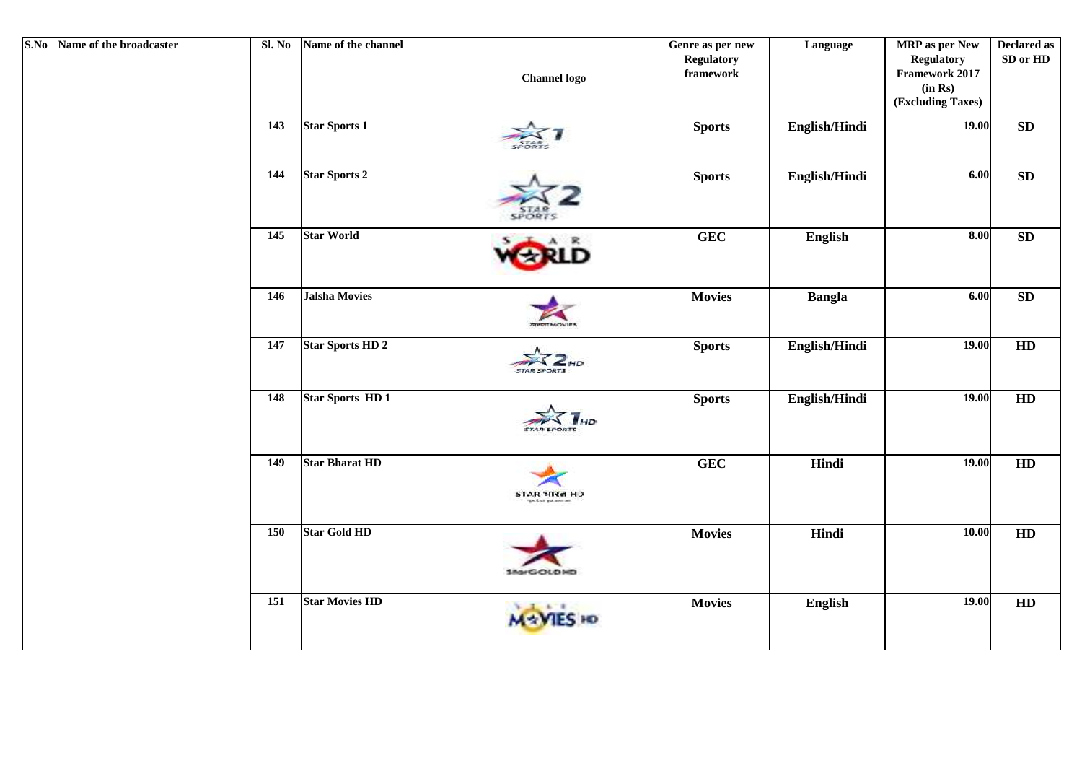| S.No Name of the broadcaster | Sl. No | Name of the channel     | <b>Channel</b> logo             | Genre as per new<br><b>Regulatory</b><br>${\bf framework}$ | Language      | MRP as per New<br><b>Regulatory</b><br>Framework 2017<br>(in Rs)<br>(Excluding Taxes) | <b>Declared as</b><br>SD or HD |
|------------------------------|--------|-------------------------|---------------------------------|------------------------------------------------------------|---------------|---------------------------------------------------------------------------------------|--------------------------------|
|                              | 143    | <b>Star Sports 1</b>    |                                 | <b>Sports</b>                                              | English/Hindi | 19.00                                                                                 | SD                             |
|                              | 144    | <b>Star Sports 2</b>    | <b>SPORTS</b>                   | <b>Sports</b>                                              | English/Hindi | 6.00                                                                                  | ${\bf SD}$                     |
|                              | 145    | <b>Star World</b>       |                                 | <b>GEC</b>                                                 | English       | 8.00                                                                                  | ${\bf SD}$                     |
|                              | 146    | <b>Jalsha Movies</b>    |                                 | <b>Movies</b>                                              | <b>Bangla</b> | $6.00$                                                                                | SD                             |
|                              | 147    | <b>Star Sports HD 2</b> | <b>STAR SPORTS</b>              | <b>Sports</b>                                              | English/Hindi | 19.00                                                                                 | HD                             |
|                              | 148    | <b>Star Sports HD1</b>  | <b>STAR SPORTS</b>              | <b>Sports</b>                                              | English/Hindi | 19.00                                                                                 | HD                             |
|                              | 149    | <b>Star Bharat HD</b>   | STAR भारत HD<br>or 2 mi, gut an | <b>GEC</b>                                                 | Hindi         | 19.00                                                                                 | HD                             |
|                              | 150    | <b>Star Gold HD</b>     | 150/GOLD HD                     | <b>Movies</b>                                              | Hindi         | 10.00                                                                                 | HD                             |
|                              | 151    | <b>Star Movies HD</b>   |                                 | <b>Movies</b>                                              | English       | 19.00                                                                                 | HD                             |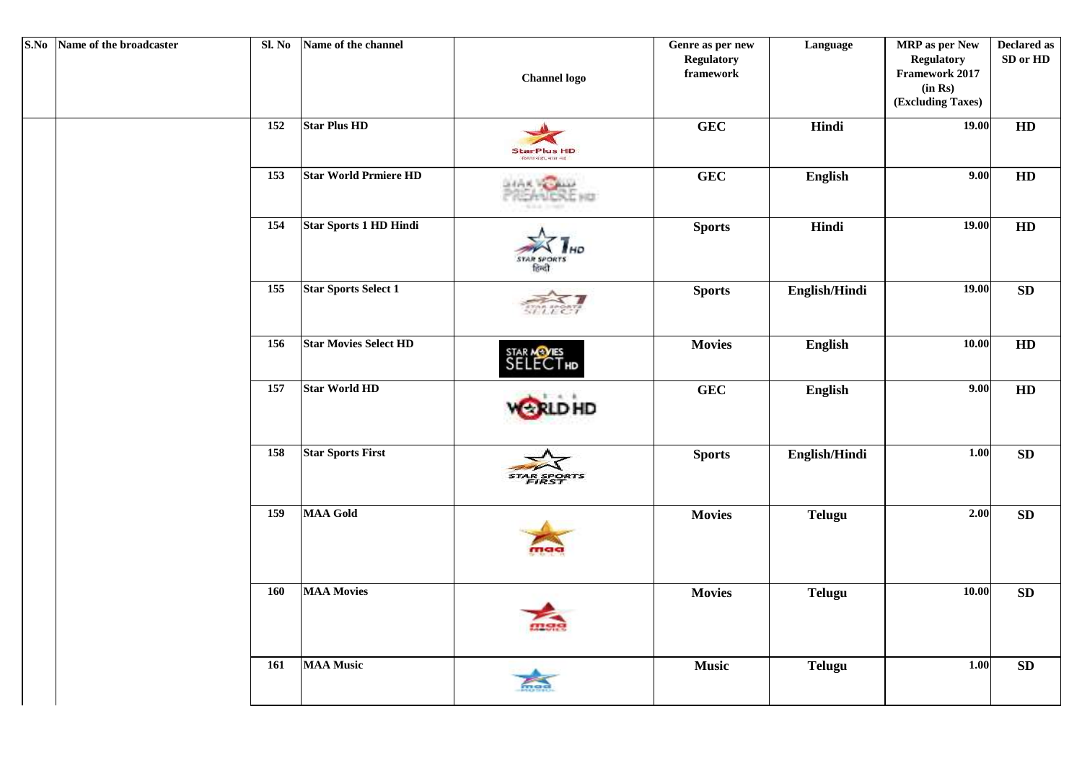| S.No Name of the broadcaster | Sl. No     | Name of the channel          | <b>Channel</b> logo                     | Genre as per new<br><b>Regulatory</b><br>framework | Language      | <b>MRP</b> as per New<br><b>Regulatory</b><br>Framework 2017<br>(in Rs)<br>(Excluding Taxes) | <b>Declared as</b><br>${\bf SD}$ or ${\bf HD}$ |
|------------------------------|------------|------------------------------|-----------------------------------------|----------------------------------------------------|---------------|----------------------------------------------------------------------------------------------|------------------------------------------------|
|                              | 152        | <b>Star Plus HD</b>          | <b>StarPlus HD</b><br>रिशता थही, बात नई | <b>GEC</b>                                         | Hindi         | 19.00                                                                                        | HD                                             |
|                              | 153        | <b>Star World Prmiere HD</b> | NCXIC HIJ                               | <b>GEC</b>                                         | English       | 9.00                                                                                         | HD                                             |
|                              | 154        | Star Sports 1 HD Hindi       | <b>STAR SPORTS</b><br>finet             | <b>Sports</b>                                      | Hindi         | 19.00                                                                                        | HD                                             |
|                              | 155        | <b>Star Sports Select 1</b>  |                                         | <b>Sports</b>                                      | English/Hindi | 19.00                                                                                        | SD                                             |
|                              | 156        | <b>Star Movies Select HD</b> | STAR MOVES<br>SELECT HD                 | <b>Movies</b>                                      | English       | 10.00                                                                                        | HD                                             |
|                              | 157        | <b>Star World HD</b>         |                                         | <b>GEC</b>                                         | English       | 9.00                                                                                         | HD                                             |
|                              | 158        | <b>Star Sports First</b>     |                                         | <b>Sports</b>                                      | English/Hindi | 1.00                                                                                         | SD                                             |
|                              | <b>159</b> | <b>MAA Gold</b>              |                                         | <b>Movies</b>                                      | <b>Telugu</b> | 2.00                                                                                         | SD                                             |
|                              | 160        | <b>MAA Movies</b>            |                                         | <b>Movies</b>                                      | <b>Telugu</b> | 10.00                                                                                        | SD                                             |
|                              | 161        | <b>MAA Music</b>             |                                         | <b>Music</b>                                       | <b>Telugu</b> | 1.00                                                                                         | SD                                             |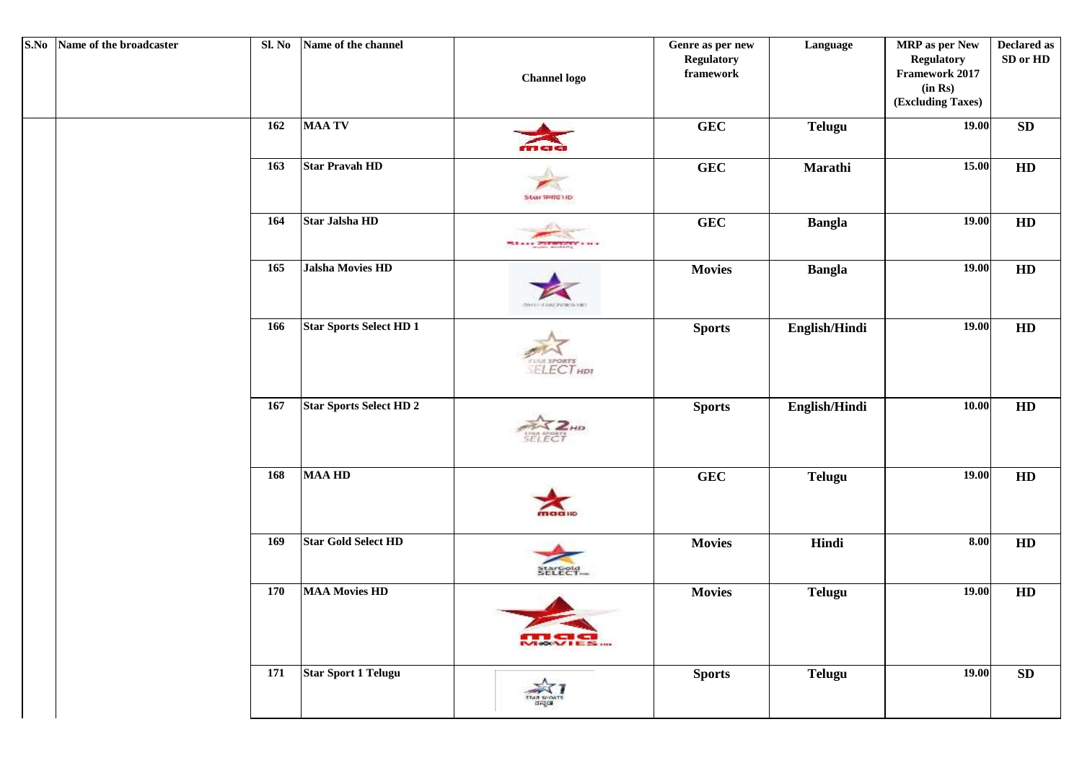| S.No Name of the broadcaster | Sl. No | Name of the channel            | <b>Channel logo</b>                  | Genre as per new<br><b>Regulatory</b><br>framework | Language      | MRP as per New<br><b>Regulatory</b><br>Framework 2017<br>(in Rs)<br>(Excluding Taxes) | <b>Declared as</b><br>SD or HD |
|------------------------------|--------|--------------------------------|--------------------------------------|----------------------------------------------------|---------------|---------------------------------------------------------------------------------------|--------------------------------|
|                              | 162    | <b>MAA TV</b>                  | rs cs ci                             | <b>GEC</b>                                         | <b>Telugu</b> | 19.00                                                                                 | ${\bf SD}$                     |
|                              | 163    | <b>Star Pravah HD</b>          | Star SHIGHD                          | <b>GEC</b>                                         | Marathi       | 15.00                                                                                 | HD                             |
|                              | 164    | Star Jalsha HD                 | Million Presentation in a            | GEC                                                | <b>Bangla</b> | 19.00                                                                                 | HD                             |
|                              | 165    | Jalsha Movies HD               | THE REVENUES HE                      | <b>Movies</b>                                      | <b>Bangla</b> | 19.00                                                                                 | HD                             |
|                              | 166    | <b>Star Sports Select HD 1</b> | <b>TUNE SPORTS</b>                   | <b>Sports</b>                                      | English/Hindi | 19.00                                                                                 | HD                             |
|                              | 167    | <b>Star Sports Select HD 2</b> | HIS<br><b>SELEC</b>                  | <b>Sports</b>                                      | English/Hindi | 10.00                                                                                 | HD                             |
|                              | 168    | <b>MAA HD</b>                  | maallo                               | <b>GEC</b>                                         | <b>Telugu</b> | 19.00                                                                                 | HD                             |
|                              | 169    | <b>Star Gold Select HD</b>     | SELECT-                              | <b>Movies</b>                                      | Hindi         | 8.00                                                                                  | HD                             |
|                              | 170    | <b>MAA Movies HD</b>           | <b>THE W</b><br><b>MORAL I E.S. </b> | <b>Movies</b>                                      | <b>Telugu</b> | 19.00                                                                                 | HD                             |
|                              | 171    | <b>Star Sport 1 Telugu</b>     | TAR SPONTS<br>digos                  | <b>Sports</b>                                      | <b>Telugu</b> | 19.00                                                                                 | ${\bf SD}$                     |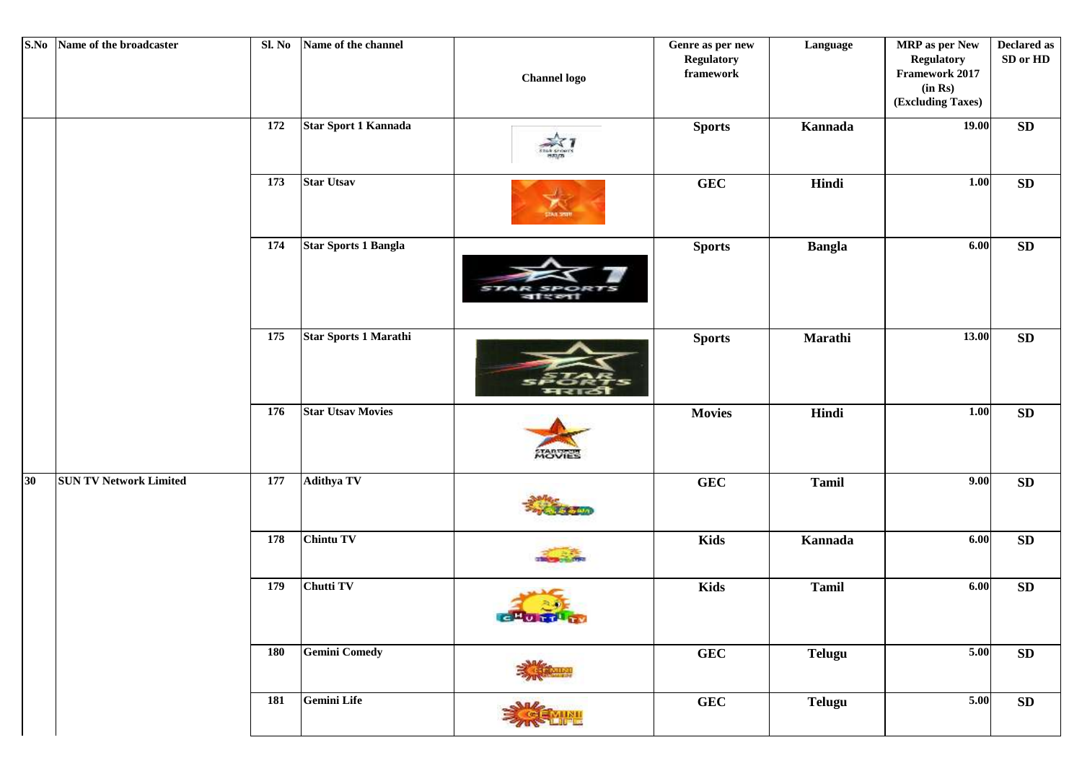| S.No | Name of the broadcaster       | Sl. No | Name of the channel         | <b>Channel</b> logo | Genre as per new<br><b>Regulatory</b><br>${\bf framework}$ | Language      | MRP as per New<br><b>Regulatory</b><br>Framework 2017<br>(in Rs)<br>(Excluding Taxes) | <b>Declared as</b><br>SD or HD |
|------|-------------------------------|--------|-----------------------------|---------------------|------------------------------------------------------------|---------------|---------------------------------------------------------------------------------------|--------------------------------|
|      |                               | 172    | Star Sport 1 Kannada        |                     | <b>Sports</b>                                              | Kannada       | 19.00                                                                                 | SD                             |
|      |                               | 173    | <b>Star Utsav</b>           |                     | <b>GEC</b>                                                 | Hindi         | 1.00                                                                                  | ${\bf SD}$                     |
|      |                               | 174    | <b>Star Sports 1 Bangla</b> |                     | <b>Sports</b>                                              | <b>Bangla</b> | 6.00                                                                                  | ${\bf SD}$                     |
|      |                               | 175    | Star Sports 1 Marathi       |                     | <b>Sports</b>                                              | Marathi       | 13.00                                                                                 | ${\bf SD}$                     |
|      |                               | 176    | <b>Star Utsav Movies</b>    | <b>MOVIES</b>       | <b>Movies</b>                                              | Hindi         | 1.00                                                                                  | SD                             |
| 30   | <b>SUN TV Network Limited</b> | 177    | <b>Adithya TV</b>           |                     | GEC                                                        | <b>Tamil</b>  | 9.00                                                                                  | ${\bf SD}$                     |
|      |                               | 178    | <b>Chintu TV</b>            |                     | <b>Kids</b>                                                | Kannada       | 6.00                                                                                  | ${\bf SD}$                     |
|      |                               | 179    | <b>Chutti TV</b>            | <b>CHUTHI</b>       | <b>Kids</b>                                                | <b>Tamil</b>  | 6.00                                                                                  | ${\bf SD}$                     |
|      |                               | 180    | <b>Gemini Comedy</b>        |                     | <b>GEC</b>                                                 | <b>Telugu</b> | 5.00                                                                                  | SD                             |
|      |                               | 181    | Gemini Life                 |                     | <b>GEC</b>                                                 | <b>Telugu</b> | $5.00\,$                                                                              | ${\bf SD}$                     |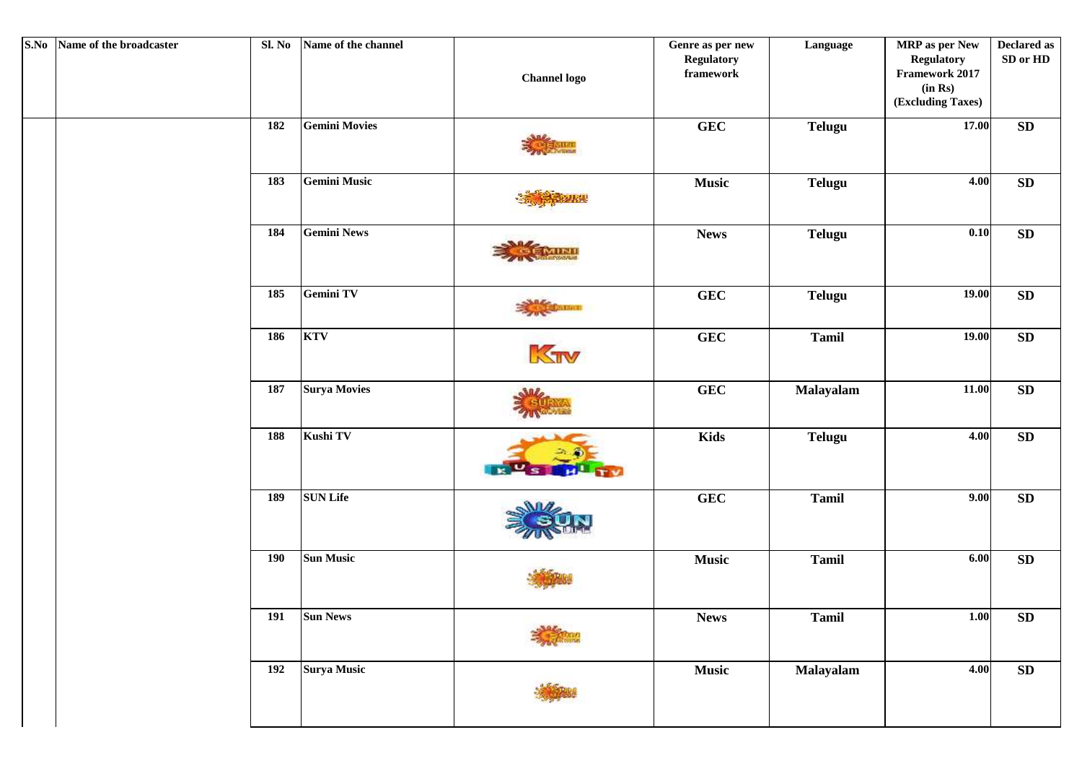| S.No Name of the broadcaster | Sl. No     | Name of the channel  | <b>Channel logo</b> | Genre as per new<br>Regulatory<br>${\bf framework}$ | Language      | <b>MRP</b> as per New<br><b>Regulatory</b><br>Framework 2017<br>(in Rs)<br>(Excluding Taxes) | <b>Declared as</b><br>SD or HD |
|------------------------------|------------|----------------------|---------------------|-----------------------------------------------------|---------------|----------------------------------------------------------------------------------------------|--------------------------------|
|                              | 182        | <b>Gemini Movies</b> |                     | <b>GEC</b>                                          | <b>Telugu</b> | 17.00                                                                                        | ${\bf SD}$                     |
|                              | 183        | <b>Gemini Music</b>  |                     | <b>Music</b>                                        | <b>Telugu</b> | 4.00                                                                                         | ${\bf SD}$                     |
|                              | 184        | <b>Gemini News</b>   |                     | <b>News</b>                                         | <b>Telugu</b> | 0.10                                                                                         | ${\bf SD}$                     |
|                              | 185        | Gemini TV            | <b>AVAILABLE</b>    | <b>GEC</b>                                          | <b>Telugu</b> | 19.00                                                                                        | ${\bf SD}$                     |
|                              | 186        | <b>KTV</b>           | KTV                 | <b>GEC</b>                                          | <b>Tamil</b>  | 19.00                                                                                        | SD                             |
|                              | 187        | <b>Surya Movies</b>  |                     | <b>GEC</b>                                          | Malayalam     | 11.00                                                                                        | ${\bf SD}$                     |
|                              | 188        | Kushi TV             |                     | Kids                                                | <b>Telugu</b> | 4.00                                                                                         | ${\bf SD}$                     |
|                              | 189        | <b>SUN Life</b>      |                     | <b>GEC</b>                                          | <b>Tamil</b>  | 9.00                                                                                         | ${\bf SD}$                     |
|                              | <b>190</b> | <b>Sun Music</b>     |                     | <b>Music</b>                                        | <b>Tamil</b>  | 6.00                                                                                         | ${\bf SD}$                     |
|                              | 191        | <b>Sun News</b>      |                     | <b>News</b>                                         | <b>Tamil</b>  | 1.00                                                                                         | SD                             |
|                              | 192        | <b>Surya Music</b>   |                     | <b>Music</b>                                        | Malayalam     | 4.00                                                                                         | SD                             |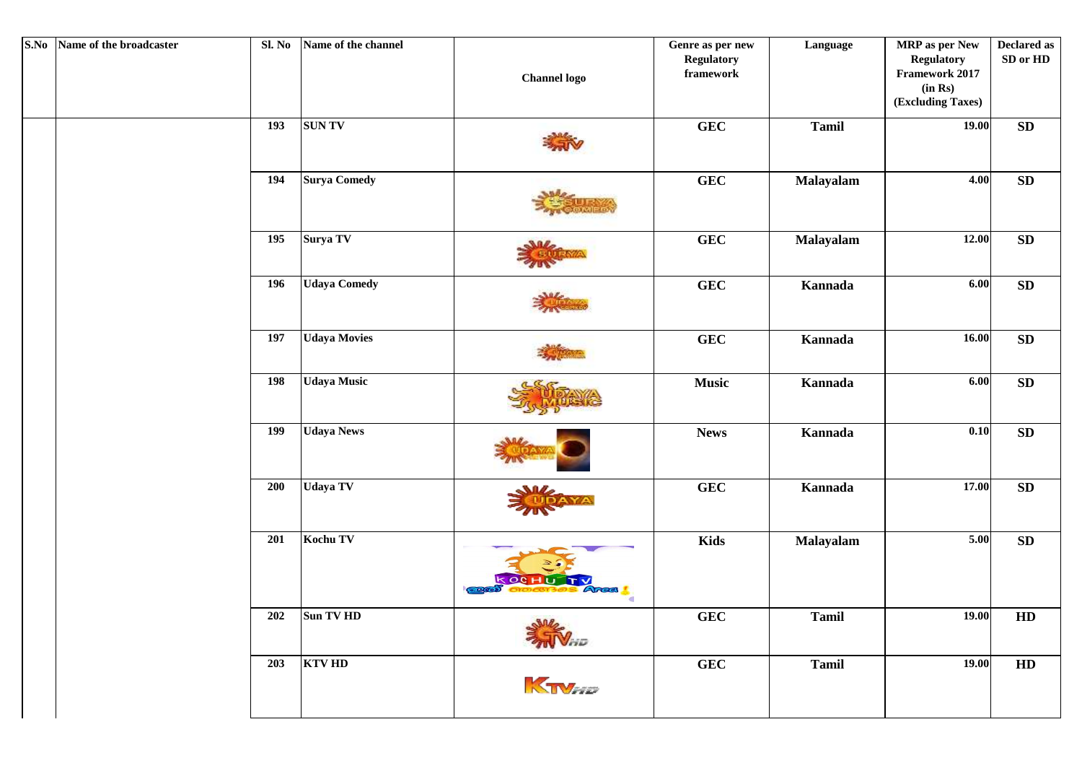| S.No Name of the broadcaster | Sl. No | Name of the channel | <b>Channel logo</b> | Genre as per new<br><b>Regulatory</b><br>${\bf framework}$ | Language     | MRP as per New<br><b>Regulatory</b><br>Framework 2017<br>(in Rs)<br>(Excluding Taxes) | Declared as<br>SD or HD |
|------------------------------|--------|---------------------|---------------------|------------------------------------------------------------|--------------|---------------------------------------------------------------------------------------|-------------------------|
|                              | 193    | <b>SUNTV</b>        |                     | GEC                                                        | <b>Tamil</b> | 19.00                                                                                 | ${\bf SD}$              |
|                              | 194    | <b>Surya Comedy</b> |                     | ${\bf GEC}$                                                | Malayalam    | 4.00                                                                                  | ${\bf SD}$              |
|                              | 195    | Surya TV            |                     | GEC                                                        | Malayalam    | 12.00                                                                                 | ${\bf SD}$              |
|                              | 196    | <b>Udaya Comedy</b> |                     | ${\bf GEC}$                                                | Kannada      | 6.00                                                                                  | ${\bf SD}$              |
|                              | 197    | <b>Udaya Movies</b> |                     | <b>GEC</b>                                                 | Kannada      | 16.00                                                                                 | ${\bf SD}$              |
|                              | 198    | <b>Udaya Music</b>  |                     | <b>Music</b>                                               | Kannada      | 6.00                                                                                  | ${\bf SD}$              |
|                              | 199    | <b>Udaya News</b>   |                     | <b>News</b>                                                | Kannada      | 0.10                                                                                  | ${\bf SD}$              |
|                              | 200    | <b>Udaya TV</b>     |                     | GEC                                                        | Kannada      | 17.00                                                                                 | ${\bf SD}$              |
|                              | 201    | Kochu TV            | Area                | <b>Kids</b>                                                | Malayalam    | 5.00                                                                                  | ${\bf SD}$              |
|                              | 202    | Sun TV HD           | Jales<br>Ville      | <b>GEC</b>                                                 | Tamil        | 19.00                                                                                 | HD                      |
|                              | 203    | <b>KTV HD</b>       | KTVHD               | <b>GEC</b>                                                 | <b>Tamil</b> | 19.00                                                                                 | HD                      |
|                              |        |                     |                     |                                                            |              |                                                                                       |                         |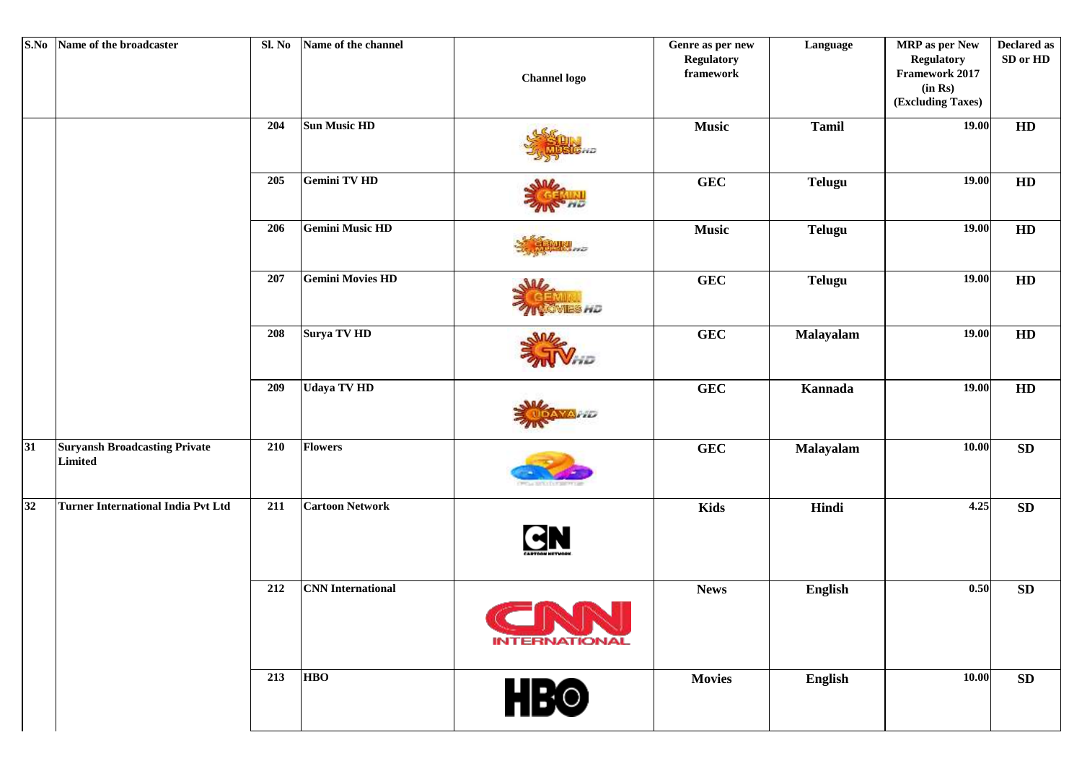| S.No | Name of the broadcaster                         | Sl. No | Name of the channel      | <b>Channel</b> logo                  | Genre as per new<br><b>Regulatory</b><br>framework | Language      | <b>MRP</b> as per New<br><b>Regulatory</b><br>Framework 2017<br>(in Rs)<br>(Excluding Taxes) | <b>Declared as</b><br>SD or HD |
|------|-------------------------------------------------|--------|--------------------------|--------------------------------------|----------------------------------------------------|---------------|----------------------------------------------------------------------------------------------|--------------------------------|
|      |                                                 | 204    | <b>Sun Music HD</b>      |                                      | <b>Music</b>                                       | <b>Tamil</b>  | 19.00                                                                                        | HD                             |
|      |                                                 | 205    | <b>Gemini TV HD</b>      |                                      | <b>GEC</b>                                         | <b>Telugu</b> | 19.00                                                                                        | HD                             |
|      |                                                 | 206    | <b>Gemini Music HD</b>   | 550                                  | <b>Music</b>                                       | <b>Telugu</b> | 19.00                                                                                        | HD                             |
|      |                                                 | 207    | <b>Gemini Movies HD</b>  | SIL<br>8 H D                         | <b>GEC</b>                                         | <b>Telugu</b> | 19.00                                                                                        | HD                             |
|      |                                                 | 208    | Surya TV HD              |                                      | <b>GEC</b>                                         | Malayalam     | 19.00                                                                                        | HD                             |
|      |                                                 | 209    | <b>Udaya TV HD</b>       |                                      | <b>GEC</b>                                         | Kannada       | 19.00                                                                                        | HD                             |
| 31   | <b>Suryansh Broadcasting Private</b><br>Limited | 210    | <b>Flowers</b>           |                                      | <b>GEC</b>                                         | Malayalam     | 10.00                                                                                        | SD                             |
| 32   | <b>Turner International India Pvt Ltd</b>       | 211    | <b>Cartoon Network</b>   | GN                                   | <b>Kids</b>                                        | Hindi         | 4.25                                                                                         | ${\bf SD}$                     |
|      |                                                 | 212    | <b>CNN</b> International | <b>FINER</b><br><b>INTERNATIONAL</b> | <b>News</b>                                        | English       | 0.50                                                                                         | ${\bf SD}$                     |
|      |                                                 | 213    | <b>HBO</b>               | <b>HBO</b>                           | <b>Movies</b>                                      | English       | 10.00                                                                                        | ${\bf SD}$                     |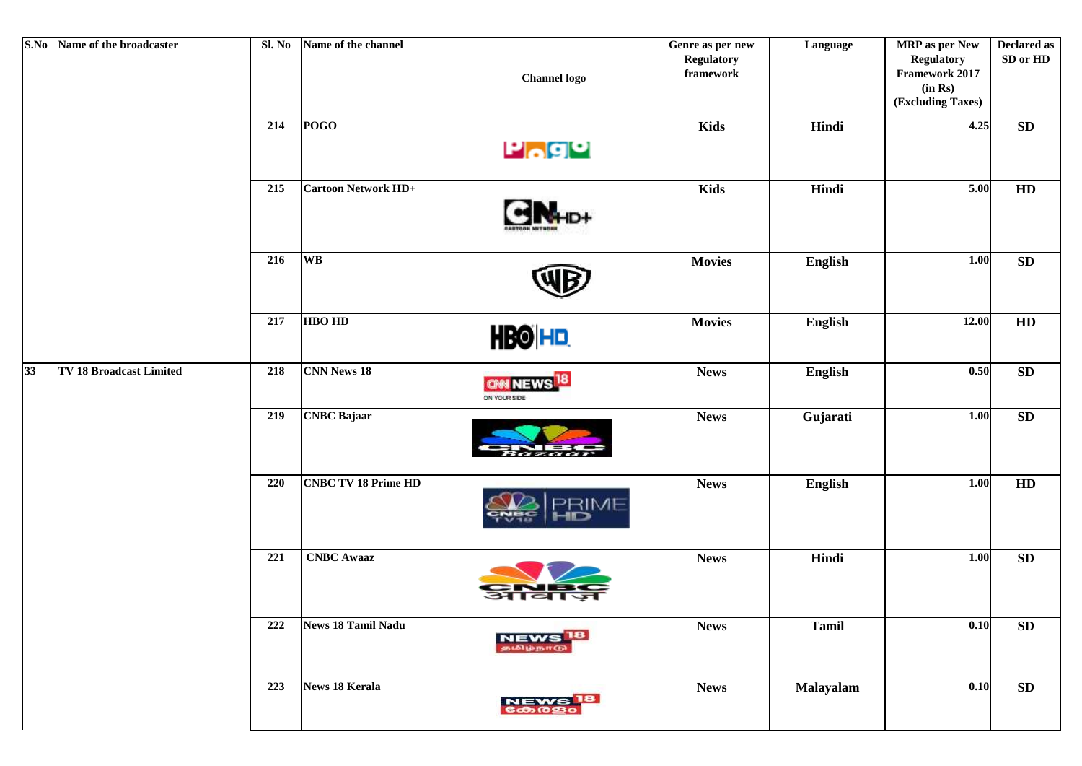| S.No            | Name of the broadcaster        | Sl. No | Name of the channel        | <b>Channel logo</b>                   | Genre as per new<br><b>Regulatory</b><br>${\bf framework}$ | Language     | <b>MRP</b> as per New<br><b>Regulatory</b><br><b>Framework 2017</b><br>(in Rs)<br>(Excluding Taxes) | <b>Declared as</b><br>SD or HD |
|-----------------|--------------------------------|--------|----------------------------|---------------------------------------|------------------------------------------------------------|--------------|-----------------------------------------------------------------------------------------------------|--------------------------------|
|                 |                                | 214    | $\overline{POGO}$          | $P_o$ go                              | <b>Kids</b>                                                | Hindi        | 4.25                                                                                                | ${\bf SD}$                     |
|                 |                                | 215    | <b>Cartoon Network HD+</b> |                                       | <b>Kids</b>                                                | Hindi        | 5.00                                                                                                | HD                             |
|                 |                                | 216    | <b>WB</b>                  |                                       | <b>Movies</b>                                              | English      | 1.00                                                                                                | SD                             |
|                 |                                | 217    | <b>HBO HD</b>              | <b>HBO HD</b>                         | <b>Movies</b>                                              | English      | 12.00                                                                                               | HD                             |
| $\overline{33}$ | <b>TV 18 Broadcast Limited</b> | 218    | <b>CNN News 18</b>         | OM NEWS <sup>18</sup><br>ON YOUR SIDE | <b>News</b>                                                | English      | 0.50                                                                                                | SD                             |
|                 |                                | 219    | <b>CNBC</b> Bajaar         |                                       | <b>News</b>                                                | Gujarati     | 1.00                                                                                                | ${\bf SD}$                     |
|                 |                                | 220    | <b>CNBC TV 18 Prime HD</b> | <b>EIME</b>                           | <b>News</b>                                                | English      | 1.00                                                                                                | ${\bf HD}$                     |
|                 |                                | 221    | <b>CNBC</b> Awaaz          |                                       | <b>News</b>                                                | Hindi        | 1.00                                                                                                | ${\bf SD}$                     |
|                 |                                | 222    | <b>News 18 Tamil Nadu</b>  | в<br><b>NEWS</b>                      | <b>News</b>                                                | <b>Tamil</b> | 0.10                                                                                                | ${\bf SD}$                     |
|                 |                                | 223    | <b>News 18 Kerala</b>      | 18<br><b>NEWS</b><br>6dogo            | <b>News</b>                                                | Malayalam    | 0.10                                                                                                | ${\bf SD}$                     |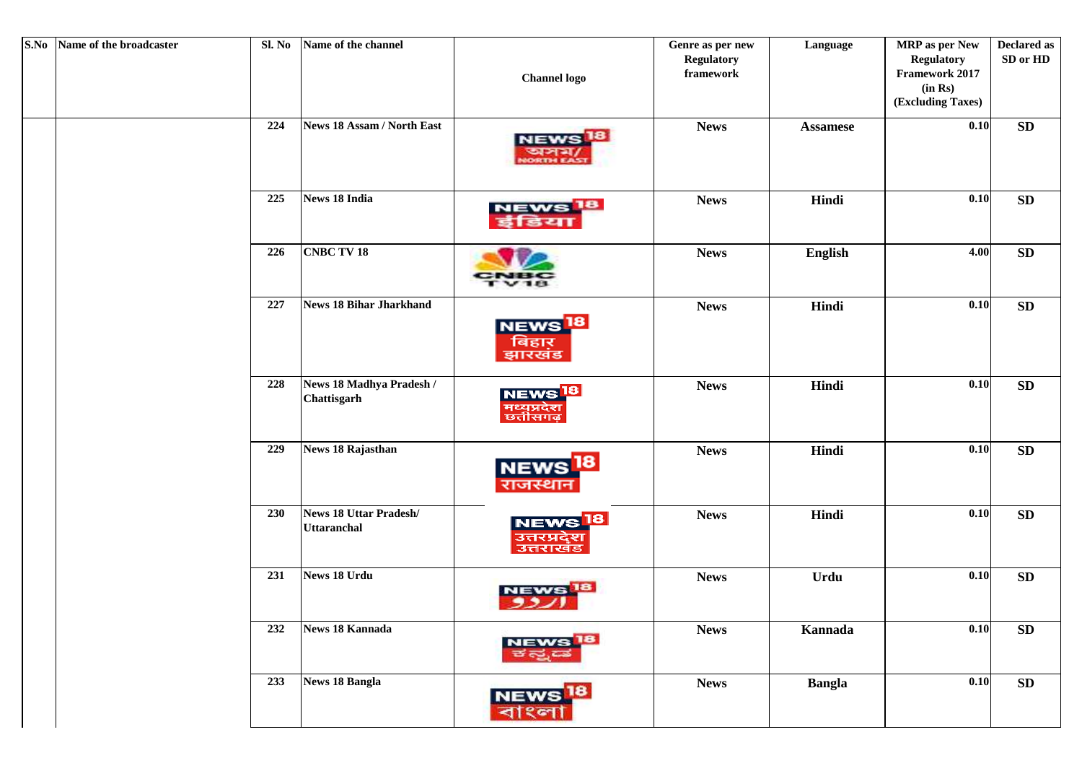| S.No Name of the broadcaster | Sl. No     | Name of the channel                          | <b>Channel</b> logo                                         | Genre as per new<br><b>Regulatory</b><br>framework | Language        | MRP as per New<br><b>Regulatory</b><br>Framework 2017<br>(in Rs)<br>(Excluding Taxes) | <b>Declared as</b><br>SD or HD |
|------------------------------|------------|----------------------------------------------|-------------------------------------------------------------|----------------------------------------------------|-----------------|---------------------------------------------------------------------------------------|--------------------------------|
|                              | 224        | News 18 Assam / North East                   | <b>NEWS</b><br><b>ORTH EAS</b>                              | <b>News</b>                                        | <b>Assamese</b> | 0.10                                                                                  | SD                             |
|                              | 225        | <b>News 18 India</b>                         | NEWS <sup>18</sup><br>डया                                   | <b>News</b>                                        | Hindi           | 0.10                                                                                  | ${\bf SD}$                     |
|                              | 226        | <b>CNBC TV 18</b>                            | 181                                                         | <b>News</b>                                        | <b>English</b>  | 4.00                                                                                  | SD                             |
|                              | 227        | <b>News 18 Bihar Jharkhand</b>               | NEWS <sup>18</sup><br>बिहार<br>झारखंड                       | <b>News</b>                                        | Hindi           | 0.10                                                                                  | ${\bf SD}$                     |
|                              | 228        | News 18 Madhya Pradesh /<br>Chattisgarh      | <mark>NEWS <sup>18</sup><br/>मध्यप्रदेश</mark><br>छत्तीसगढ़ | <b>News</b>                                        | Hindi           | 0.10                                                                                  | ${\bf SD}$                     |
|                              | 229        | <b>News 18 Rajasthan</b>                     | <b>NEWS</b><br>राजस्थान                                     | <b>News</b>                                        | Hindi           | 0.10                                                                                  | SD                             |
|                              | <b>230</b> | News 18 Uttar Pradesh/<br><b>Uttaranchal</b> | <b>NEWS</b><br>उत्तरप्रदेश<br>उत्तराखड                      | <b>News</b>                                        | Hindi           | 0.10                                                                                  | SD                             |
|                              | 231        | News 18 Urdu                                 |                                                             | <b>News</b>                                        | Urdu            | 0.10                                                                                  | SD                             |
|                              | 232        | <b>News 18 Kannada</b>                       | NEWS <sup>18</sup><br>ಕ ಸ್ತ                                 | <b>News</b>                                        | Kannada         | 0.10                                                                                  | ${\bf SD}$                     |
|                              | 233        | <b>News 18 Bangla</b>                        | 18<br><mark>NEWS</mark><br>বাংলা                            | <b>News</b>                                        | <b>Bangla</b>   | 0.10                                                                                  | ${\bf SD}$                     |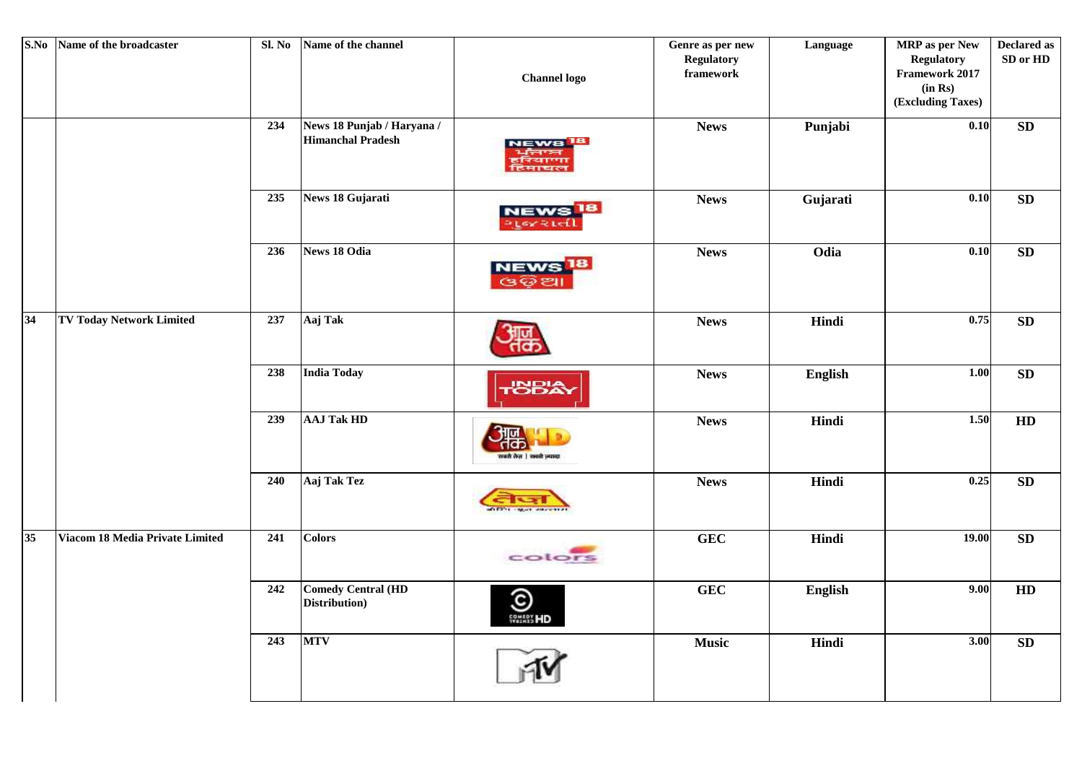| S.No            | Name of the broadcaster         | Sl. No | Name of the channel                                    | <b>Channel logo</b>                   | Genre as per new<br><b>Regulatory</b><br>framework | Language | MRP as per New<br><b>Regulatory</b><br>Framework 2017<br>(in Rs)<br>(Excluding Taxes) | <b>Declared as</b><br>SD or HD |
|-----------------|---------------------------------|--------|--------------------------------------------------------|---------------------------------------|----------------------------------------------------|----------|---------------------------------------------------------------------------------------|--------------------------------|
|                 |                                 | 234    | News 18 Punjab / Haryana /<br><b>Himanchal Pradesh</b> |                                       | <b>News</b>                                        | Punjabi  | 0.10                                                                                  | ${\bf SD}$                     |
|                 |                                 | 235    | News 18 Gujarati                                       | NEWS <sup>18</sup><br><b>FLOY RIV</b> | <b>News</b>                                        | Gujarati | 0.10                                                                                  | ${\bf SD}$                     |
|                 |                                 | 236    | <b>News 18 Odia</b>                                    | <b>NEWS</b><br>යගප                    | <b>News</b>                                        | Odia     | 0.10                                                                                  | ${\bf SD}$                     |
| 34              | <b>TV Today Network Limited</b> | 237    | Aaj Tak                                                |                                       | <b>News</b>                                        | Hindi    | 0.75                                                                                  | SD                             |
|                 |                                 | 238    | <b>India Today</b>                                     | <b>SBA</b>                            | <b>News</b>                                        | English  | 1.00                                                                                  | ${\bf SD}$                     |
|                 |                                 | 239    | <b>AAJ Tak HD</b>                                      |                                       | <b>News</b>                                        | Hindi    | 1.50                                                                                  | HD                             |
|                 |                                 | 240    | Aaj Tak Tez                                            |                                       | <b>News</b>                                        | Hindi    | 0.25                                                                                  | ${\bf SD}$                     |
| $\overline{35}$ | Viacom 18 Media Private Limited | 241    | <b>Colors</b>                                          | colors                                | <b>GEC</b>                                         | Hindi    | 19.00                                                                                 | ${\bf SD}$                     |
|                 |                                 | 242    | <b>Comedy Central (HD</b><br>Distribution)             | $\bigodot$                            | <b>GEC</b>                                         | English  | 9.00                                                                                  | HD                             |
|                 |                                 | 243    | <b>MTV</b>                                             |                                       | <b>Music</b>                                       | Hindi    | $\boxed{3.00}$                                                                        | ${\bf SD}$                     |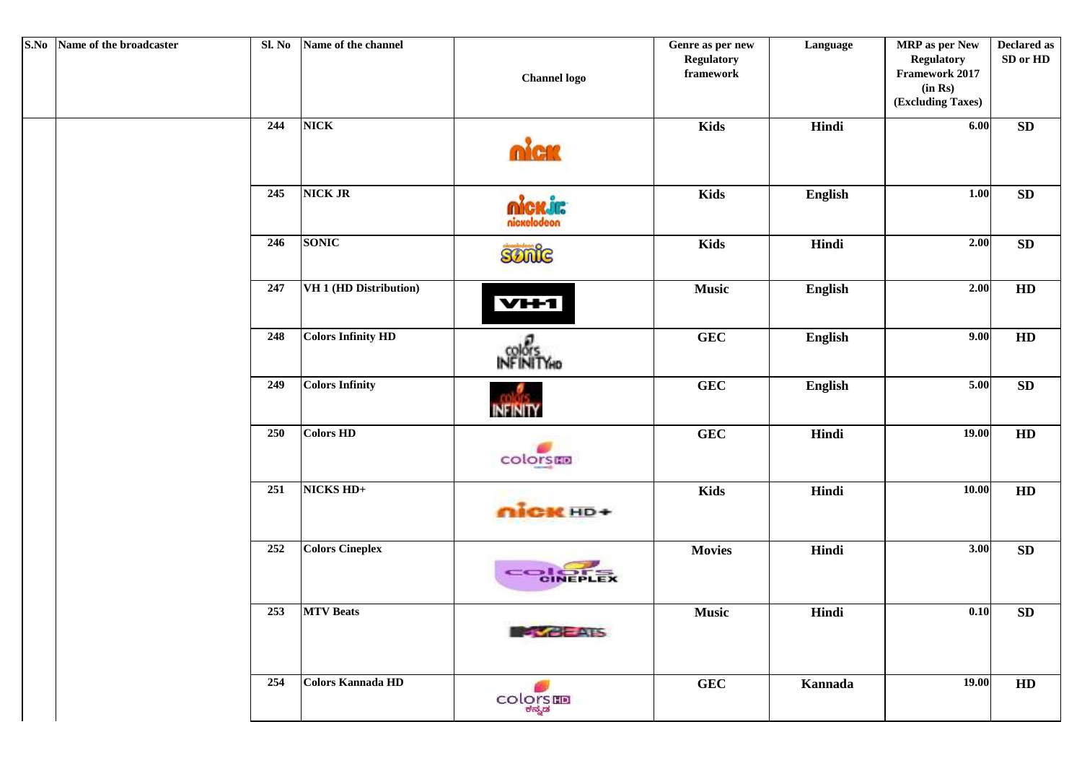| S.No Name of the broadcaster | Sl. No | Name of the channel       | <b>Channel logo</b> | Genre as per new<br><b>Regulatory</b><br>${\bf framework}$ | Language       | <b>MRP</b> as per New<br><b>Regulatory</b><br>Framework 2017<br>(in Rs)<br>(Excluding Taxes) | <b>Declared as</b><br>SD or HD |
|------------------------------|--------|---------------------------|---------------------|------------------------------------------------------------|----------------|----------------------------------------------------------------------------------------------|--------------------------------|
|                              | 244    | <b>NICK</b>               | nica                | <b>Kids</b>                                                | Hindi          | 6.00                                                                                         | ${\bf SD}$                     |
|                              | 245    | <b>NICK JR</b>            | nickelodeon         | <b>Kids</b>                                                | English        | 1.00                                                                                         | ${\bf SD}$                     |
|                              | 246    | <b>SONIC</b>              | Sonic               | <b>Kids</b>                                                | Hindi          | 2.00                                                                                         | ${\bf SD}$                     |
|                              | 247    | VH 1 (HD Distribution)    | VH <sub>1</sub>     | <b>Music</b>                                               | English        | 2.00                                                                                         | HD                             |
|                              | 248    | <b>Colors Infinity HD</b> | <b>INFINITYHO</b>   | <b>GEC</b>                                                 | <b>English</b> | 9.00                                                                                         | HD                             |
|                              | 249    | <b>Colors Infinity</b>    | <b>INFINITY</b>     | <b>GEC</b>                                                 | English        | 5.00                                                                                         | ${\bf SD}$                     |
|                              | 250    | <b>Colors HD</b>          | colorsen            | <b>GEC</b>                                                 | Hindi          | 19.00                                                                                        | HD                             |
|                              | 251    | NICKS HD+                 | nick HD+            | <b>Kids</b>                                                | Hindi          | 10.00                                                                                        | HD                             |
|                              | 252    | <b>Colors Cineplex</b>    | CONFELEX            | <b>Movies</b>                                              | Hindi          | 3.00                                                                                         | ${\bf SD}$                     |
|                              | 253    | <b>MTV</b> Beats          | <b>SYCHOLS</b>      | <b>Music</b>                                               | Hindi          | 0.10                                                                                         | ${\bf SD}$                     |
|                              | 254    | <b>Colors Kannada HD</b>  | COLORS              | <b>GEC</b>                                                 | Kannada        | 19.00                                                                                        | HD                             |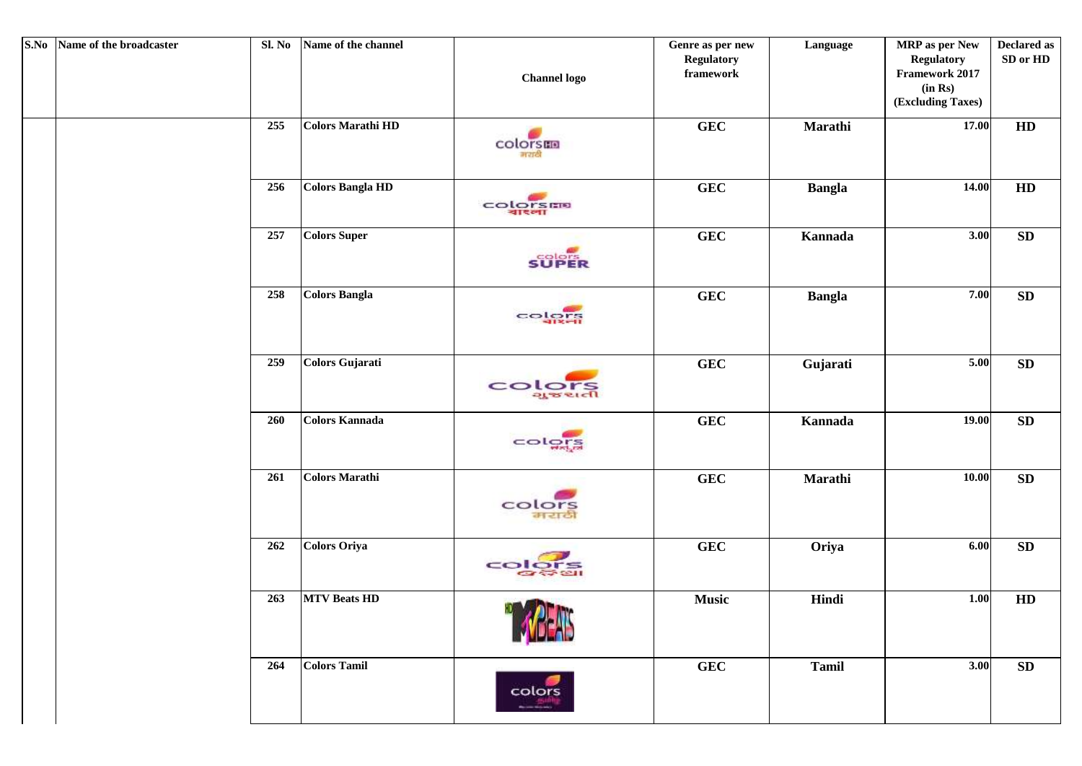| S.No Name of the broadcaster | Sl. No | Name of the channel      | <b>Channel</b> logo                   | Genre as per new<br><b>Regulatory</b><br>${\bf framework}$ | Language      | MRP as per New<br><b>Regulatory</b><br>Framework 2017<br>(in Rs)<br>(Excluding Taxes) | <b>Declared as</b><br>SD or HD |
|------------------------------|--------|--------------------------|---------------------------------------|------------------------------------------------------------|---------------|---------------------------------------------------------------------------------------|--------------------------------|
|                              | 255    | <b>Colors Marathi HD</b> | colorsmo<br>नराठी                     | <b>GEC</b>                                                 | Marathi       | 17.00                                                                                 | HD                             |
|                              | 256    | <b>Colors Bangla HD</b>  | <b>COLORSER</b>                       | ${\bf GEC}$                                                | <b>Bangla</b> | 14.00                                                                                 | HD                             |
|                              | 257    | <b>Colors Super</b>      | <b>SUPER</b>                          | <b>GEC</b>                                                 | Kannada       | 3.00                                                                                  | ${\bf SD}$                     |
|                              | 258    | <b>Colors Bangla</b>     | colora                                | GEC                                                        | <b>Bangla</b> | 7.00                                                                                  | ${\bf SD}$                     |
|                              | 259    | <b>Colors Gujarati</b>   | <b>COLOTS</b>                         | GEC                                                        | Gujarati      | 5.00                                                                                  | SD                             |
|                              | 260    | <b>Colors Kannada</b>    | colors                                | ${\bf GEC}$                                                | Kannada       | 19.00                                                                                 | ${\bf SD}$                     |
|                              | 261    | <b>Colors Marathi</b>    | colors<br>मराठी                       | GEC                                                        | Marathi       | 10.00                                                                                 | ${\bf SD}$                     |
|                              | 262    | <b>Colors Oriya</b>      | colors<br>$\sigma$ $\approx$ $\alpha$ | ${\bf GEC}$                                                | Oriya         | 6.00                                                                                  | ${\bf SD}$                     |
|                              | 263    | <b>MTV Beats HD</b>      | <b>HD AT ATCA</b>                     | <b>Music</b>                                               | Hindi         | $1.00$                                                                                | HD                             |
|                              | 264    | <b>Colors Tamil</b>      | colors                                | <b>GEC</b>                                                 | <b>Tamil</b>  | 3.00                                                                                  | ${\bf SD}$                     |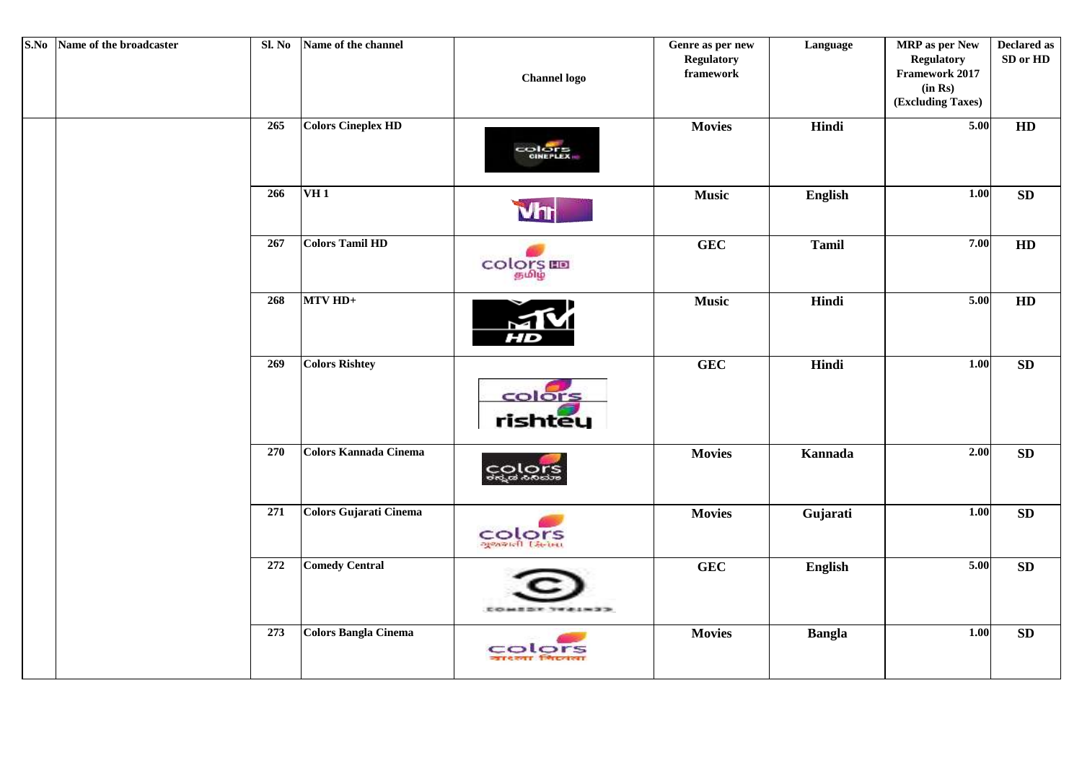| S.No | Name of the broadcaster | Sl. No | Name of the channel           | <b>Channel logo</b>        | Genre as per new<br><b>Regulatory</b><br>framework | Language       | <b>MRP</b> as per New<br><b>Regulatory</b><br>Framework 2017<br>(in Rs)<br>(Excluding Taxes) | <b>Declared as</b><br>SD or HD |
|------|-------------------------|--------|-------------------------------|----------------------------|----------------------------------------------------|----------------|----------------------------------------------------------------------------------------------|--------------------------------|
|      |                         | 265    | <b>Colors Cineplex HD</b>     | COLORE                     | <b>Movies</b>                                      | Hindi          | 5.00                                                                                         | HD                             |
|      |                         | 266    | <b>VH1</b>                    | Vhr                        | <b>Music</b>                                       | English        | 1.00                                                                                         | ${\bf SD}$                     |
|      |                         | 267    | <b>Colors Tamil HD</b>        | COLORS III                 | <b>GEC</b>                                         | <b>Tamil</b>   | 7.00                                                                                         | HD                             |
|      |                         | 268    | MTV HD+                       | M<br>HD                    | <b>Music</b>                                       | Hindi          | 5.00                                                                                         | HD                             |
|      |                         | 269    | <b>Colors Rishtey</b>         | colors<br>rishtey          | GEC                                                | Hindi          | 1.00                                                                                         | ${\bf SD}$                     |
|      |                         | 270    | <b>Colors Kannada Cinema</b>  | င္တင္ဆုဝွက္ရွ              | <b>Movies</b>                                      | <b>Kannada</b> | 2.00                                                                                         | SD                             |
|      |                         | 271    | <b>Colors Gujarati Cinema</b> | COLOTS                     | <b>Movies</b>                                      | Gujarati       | 1.00                                                                                         | ${\bf SD}$                     |
|      |                         | 272    | <b>Comedy Central</b>         |                            | <b>GEC</b>                                         | English        | 5.00                                                                                         | SD                             |
|      |                         | 273    | <b>Colors Bangla Cinema</b>   | colors<br>जा¢रुपा जिल्लामा | <b>Movies</b>                                      | <b>Bangla</b>  | 1.00                                                                                         | ${\bf SD}$                     |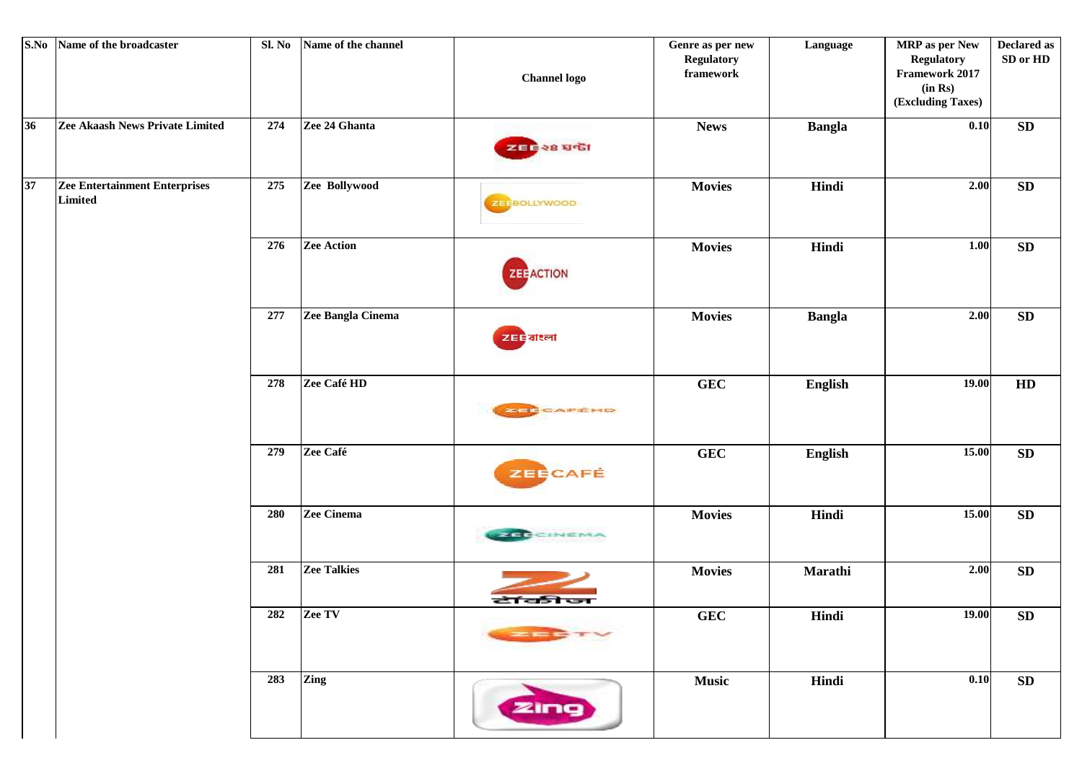| S.No | Name of the broadcaster                         | Sl. No | Name of the channel | <b>Channel</b> logo | Genre as per new<br><b>Regulatory</b><br>framework | Language      | <b>MRP</b> as per New<br><b>Regulatory</b><br>Framework 2017<br>(in Rs)<br>(Excluding Taxes) | <b>Declared as</b><br>SD or HD |
|------|-------------------------------------------------|--------|---------------------|---------------------|----------------------------------------------------|---------------|----------------------------------------------------------------------------------------------|--------------------------------|
| 36   | Zee Akaash News Private Limited                 | 274    | Zee 24 Ghanta       | ZEE 28 USI          | <b>News</b>                                        | <b>Bangla</b> | 0.10                                                                                         | SD                             |
| 37   | <b>Zee Entertainment Enterprises</b><br>Limited | 275    | Zee Bollywood       | ZEEBOLLYWOOD        | <b>Movies</b>                                      | Hindi         | 2.00                                                                                         | ${\bf SD}$                     |
|      |                                                 | 276    | <b>Zee Action</b>   | <b>ZEE ACTION</b>   | <b>Movies</b>                                      | Hindi         | 1.00                                                                                         | SD                             |
|      |                                                 | 277    | Zee Bangla Cinema   | zee altal           | <b>Movies</b>                                      | <b>Bangla</b> | 2.00                                                                                         | ${\bf SD}$                     |
|      |                                                 | 278    | Zee Café HD         | <b>ZEE CAFÉHO</b>   | ${\bf GEC}$                                        | English       | 19.00                                                                                        | HD                             |
|      |                                                 | 279    | Zee Café            | ZEECAFÉ             | ${\bf GEC}$                                        | English       | 15.00                                                                                        | ${\bf SD}$                     |
|      |                                                 | 280    | Zee Cinema          | <b>NATE CINGRAN</b> | <b>Movies</b>                                      | Hindi         | 15.00                                                                                        | ${\bf SD}$                     |
|      |                                                 | 281    | <b>Zee Talkies</b>  | टॉकीज               | <b>Movies</b>                                      | Marathi       | 2.00                                                                                         | ${\bf SD}$                     |
|      |                                                 |        | 282 Zee TV          |                     | GEC                                                | Hindi         | 19.00                                                                                        | ${\bf SD}$                     |
|      |                                                 | 283    | Zing                | zing                | <b>Music</b>                                       | Hindi         | 0.10                                                                                         | SD                             |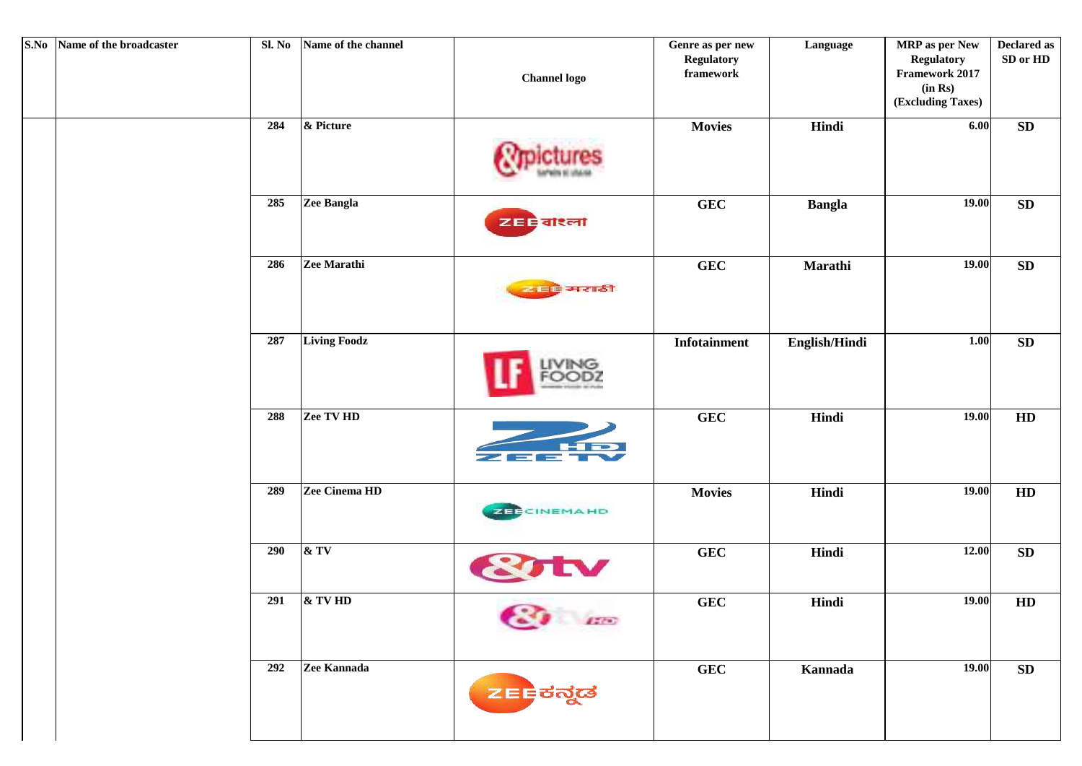| S.No Name of the broadcaster | Sl. No | Name of the channel | <b>Channel logo</b>                     | Genre as per new<br><b>Regulatory</b><br>${\bf framework}$ | Language      | MRP as per New<br><b>Regulatory</b><br>Framework 2017<br>(in Rs)<br>(Excluding Taxes) | <b>Declared as</b><br>SD or HD |
|------------------------------|--------|---------------------|-----------------------------------------|------------------------------------------------------------|---------------|---------------------------------------------------------------------------------------|--------------------------------|
|                              | 284    | & Picture           |                                         | <b>Movies</b>                                              | Hindi         | 6.00                                                                                  | ${\bf SD}$                     |
|                              | 285    | Zee Bangla          | <b>ZEE</b> alsoil                       | GEC                                                        | <b>Bangla</b> | 19.00                                                                                 | ${\bf SD}$                     |
|                              | 286    | Zee Marathi         | व्यवहि मराठी                            | <b>GEC</b>                                                 | Marathi       | 19.00                                                                                 | ${\bf SD}$                     |
|                              | 287    | <b>Living Foodz</b> |                                         | <b>Infotainment</b>                                        | English/Hindi | 1.00                                                                                  | ${\bf SD}$                     |
|                              | 288    | Zee TV HD           | <b>Resista</b><br>$=$                   | GEC                                                        | Hindi         | 19.00                                                                                 | HD                             |
|                              | 289    | Zee Cinema HD       | <b>ZEBCINEMAHD</b>                      | <b>Movies</b>                                              | Hindi         | 19.00                                                                                 | HD                             |
|                              | 290    | &TV                 |                                         | ${\bf GEC}$                                                | Hindi         | 12.00                                                                                 | ${\bf SD}$                     |
|                              | 291    | & TV HD             | $\sqrt{2}$<br>$\mathbf{a}^{\text{max}}$ | <b>GEC</b>                                                 | Hindi         | 19.00                                                                                 | HD                             |
|                              | 292    | Zee Kannada         | <mark>z≡⊧</mark> ಕನ್ನಡ                  | <b>GEC</b>                                                 | Kannada       | 19.00                                                                                 | SD                             |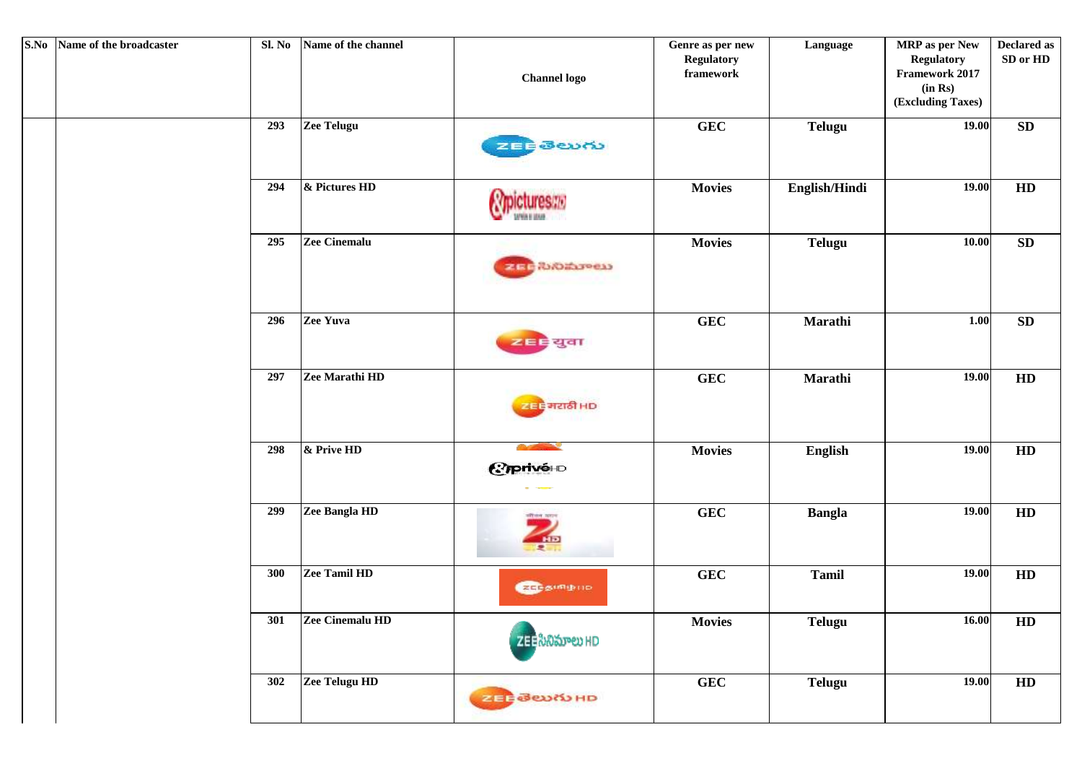| S.No Name of the broadcaster | Sl. No | Name of the channel | <b>Channel</b> logo                            | Genre as per new<br><b>Regulatory</b><br>${\bf framework}$ | Language       | MRP as per New<br><b>Regulatory</b><br>Framework 2017<br>(in Rs)<br>(Excluding Taxes) | <b>Declared as</b><br>SD or HD |
|------------------------------|--------|---------------------|------------------------------------------------|------------------------------------------------------------|----------------|---------------------------------------------------------------------------------------|--------------------------------|
|                              | 293    | <b>Zee Telugu</b>   | zEEBeury                                       | <b>GEC</b>                                                 | <b>Telugu</b>  | 19.00                                                                                 | ${\bf SD}$                     |
|                              | 294    | & Pictures HD       |                                                | <b>Movies</b>                                              | English/Hindi  | 19.00                                                                                 | HD                             |
|                              | 295    | Zee Cinemalu        | <b>ZECROWORD</b>                               | <b>Movies</b>                                              | <b>Telugu</b>  | 10.00                                                                                 | ${\bf SD}$                     |
|                              | 296    | Zee Yuva            | <mark>≥≡≑</mark> युवा                          | ${\bf GEC}$                                                | Marathi        | 1.00                                                                                  | ${\bf SD}$                     |
|                              | 297    | Zee Marathi HD      | खन है मराठी HD                                 | GEC                                                        | Marathi        | 19.00                                                                                 | HD                             |
|                              | 298    | & Prive HD          | <b>Contract Contract Contract</b><br>Ciprivé+D | <b>Movies</b>                                              | <b>English</b> | 19.00                                                                                 | HD                             |
|                              | 299    | Zee Bangla HD       | <b>PERIOD SERVE</b><br>$rac{1}{2}$             | <b>GEC</b>                                                 | <b>Bangla</b>  | 19.00                                                                                 | HD                             |
|                              | 300    | Zee Tamil HD        | <b>REFERING</b>                                | GEC                                                        | <b>Tamil</b>   | 19.00                                                                                 | HD                             |
|                              | 301    | Zee Cinemalu HD     | zee సినిమాలు HD                                | <b>Movies</b>                                              | <b>Telugu</b>  | 16.00                                                                                 | HD                             |
|                              | 302    | Zee Telugu HD       | 20 - Beury HD                                  | GEC                                                        | <b>Telugu</b>  | 19.00                                                                                 | HD                             |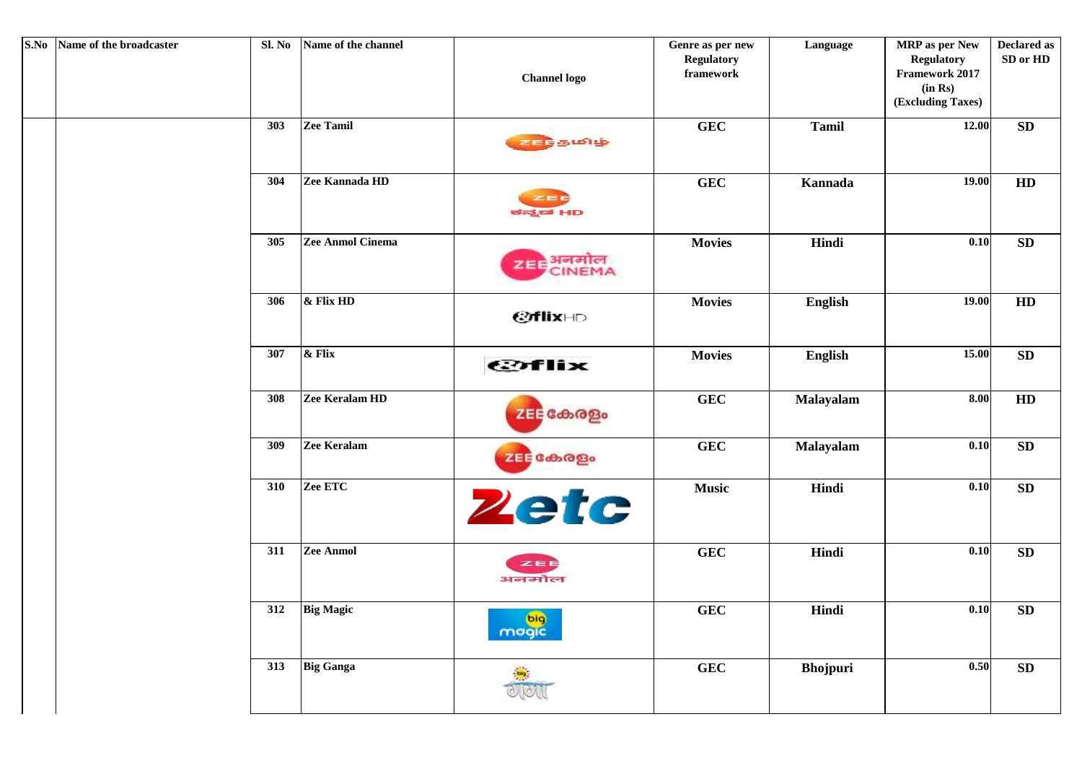| S.No Name of the broadcaster | Sl. No | Name of the channel | <b>Channel logo</b>                     | Genre as per new<br><b>Regulatory</b><br>framework | Language        | MRP as per New<br><b>Regulatory</b><br>Framework 2017<br>(in Rs)<br>(Excluding Taxes) | <b>Declared as</b><br>SD or HD |
|------------------------------|--------|---------------------|-----------------------------------------|----------------------------------------------------|-----------------|---------------------------------------------------------------------------------------|--------------------------------|
|                              | 303    | Zee Tamil           | உடந்தமிழ்                               | <b>GEC</b>                                         | <b>Tamil</b>    | 12.00                                                                                 | ${\bf SD}$                     |
|                              | 304    | Zee Kannada HD      | ಜೆನ್ನಡ HD                               | <b>GEC</b>                                         | Kannada         | 19.00                                                                                 | HD                             |
|                              | 305    | Zee Anmol Cinema    | zia: अनमोल<br>CINEMA                    | <b>Movies</b>                                      | Hindi           | 0.10                                                                                  | <b>SD</b>                      |
|                              | 306    | $\&$ Flix HD        | <b>@flix</b> HD                         | <b>Movies</b>                                      | English         | 19.00                                                                                 | HD                             |
|                              | 307    | & Flix              | <b>COFlix</b>                           | <b>Movies</b>                                      | English         | 15.00                                                                                 | ${\bf SD}$                     |
|                              | 308    | Zee Keralam HD      | zEE കേരളം                               | <b>GEC</b>                                         | Malayalam       | 8.00                                                                                  | HD                             |
|                              | 309    | Zee Keralam         | zEE கேஜெ                                | <b>GEC</b>                                         | Malayalam       | 0.10                                                                                  | SD                             |
|                              | 310    | Zee ETC             | <b>Zetc</b>                             | <b>Music</b>                                       | Hindi           | 0.10                                                                                  | <b>SD</b>                      |
|                              | 311    | Zee Anmol           | ZEE<br>अनमोल                            | <b>GEC</b>                                         | Hindi           | 0.10                                                                                  | SD                             |
|                              | 312    | <b>Big Magic</b>    | <b><i>CONTINUES</i></b><br>pig<br>mogic | <b>GEC</b>                                         | Hindi           | 0.10                                                                                  | <b>SD</b>                      |
|                              | 313    | <b>Big Ganga</b>    |                                         | <b>GEC</b>                                         | <b>Bhojpuri</b> | 0.50                                                                                  | ${\bf SD}$                     |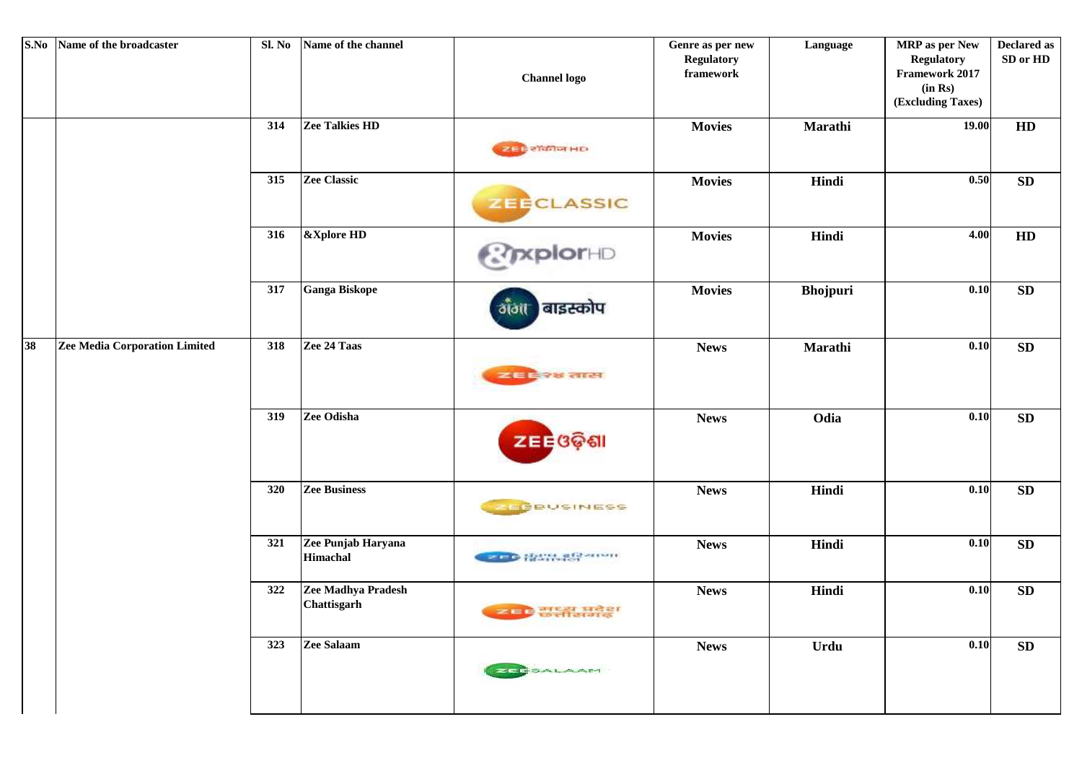| S.No | Name of the broadcaster              | Sl. No | Name of the channel                      | <b>Channel</b> logo         | Genre as per new<br><b>Regulatory</b><br>framework | Language        | <b>MRP</b> as per New<br><b>Regulatory</b><br>Framework 2017<br>(in Rs)<br>(Excluding Taxes) | <b>Declared as</b><br>SD or HD |
|------|--------------------------------------|--------|------------------------------------------|-----------------------------|----------------------------------------------------|-----------------|----------------------------------------------------------------------------------------------|--------------------------------|
|      |                                      | 314    | Zee Talkies HD                           | 288355HD                    | <b>Movies</b>                                      | Marathi         | 19.00                                                                                        | HD                             |
|      |                                      | 315    | <b>Zee Classic</b>                       | <b>ZEECLASSIC</b>           | <b>Movies</b>                                      | Hindi           | 0.50                                                                                         | ${\bf SD}$                     |
|      |                                      | 316    | &Xplore HD                               | <b>ExplorHD</b>             | <b>Movies</b>                                      | Hindi           | 4.00                                                                                         | HD                             |
|      |                                      | 317    | <b>Ganga Biskope</b>                     | बाइस्कोप<br>ðlöit           | <b>Movies</b>                                      | <b>Bhojpuri</b> | 0.10                                                                                         | ${\bf SD}$                     |
| 38   | <b>Zee Media Corporation Limited</b> | 318    | Zee 24 Taas                              | व्यवस्थित लास               | <b>News</b>                                        | Marathi         | 0.10                                                                                         | SD                             |
|      |                                      | 319    | Zee Odisha                               | ZEE ଓଡ଼ିଶା                  | <b>News</b>                                        | Odia            | 0.10                                                                                         | SD                             |
|      |                                      | 320    | <b>Zee Business</b>                      | <b>ZEPBUSINESS</b>          | <b>News</b>                                        | Hindi           | 0.10                                                                                         | ${\bf SD}$                     |
|      |                                      | 321    | Zee Punjab Haryana<br>Himachal           | <b>BOD HAWARE</b> SHOW      | <b>News</b>                                        | Hindi           | 0.10                                                                                         | SD                             |
|      |                                      | 322    | Zee Madhya Pradesh<br><b>Chattisgarh</b> | <u>स्याम</u> सम्प्रम प्रदेश | <b>News</b>                                        | Hindi           | 0.10                                                                                         | SD                             |
|      |                                      | 323    | Zee Salaam                               | <b>ZEESALAAM</b>            | <b>News</b>                                        | Urdu            | 0.10                                                                                         | ${\bf SD}$                     |